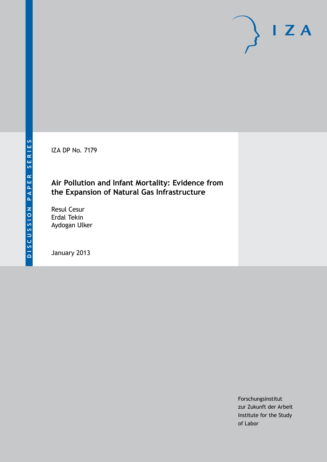IZA DP No. 7179

## **Air Pollution and Infant Mortality: Evidence from the Expansion of Natural Gas Infrastructure**

Resul Cesur Erdal Tekin Aydogan Ulker

January 2013

Forschungsinstitut zur Zukunft der Arbeit Institute for the Study of Labor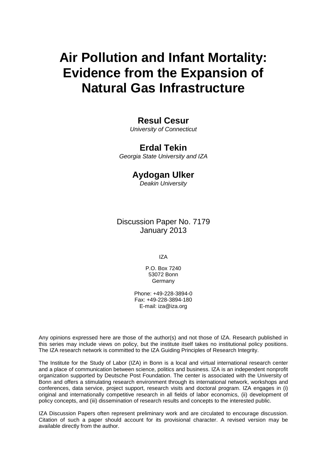# **Air Pollution and Infant Mortality: Evidence from the Expansion of Natural Gas Infrastructure**

### **Resul Cesur**

*University of Connecticut*

### **Erdal Tekin**

*Georgia State University and IZA*

### **Aydogan Ulker**

*Deakin University*

### Discussion Paper No. 7179 January 2013

IZA

P.O. Box 7240 53072 Bonn **Germany** 

Phone: +49-228-3894-0 Fax: +49-228-3894-180 E-mail: [iza@iza.org](mailto:iza@iza.org)

Any opinions expressed here are those of the author(s) and not those of IZA. Research published in this series may include views on policy, but the institute itself takes no institutional policy positions. The IZA research network is committed to the IZA Guiding Principles of Research Integrity.

The Institute for the Study of Labor (IZA) in Bonn is a local and virtual international research center and a place of communication between science, politics and business. IZA is an independent nonprofit organization supported by Deutsche Post Foundation. The center is associated with the University of Bonn and offers a stimulating research environment through its international network, workshops and conferences, data service, project support, research visits and doctoral program. IZA engages in (i) original and internationally competitive research in all fields of labor economics, (ii) development of policy concepts, and (iii) dissemination of research results and concepts to the interested public.

IZA Discussion Papers often represent preliminary work and are circulated to encourage discussion. Citation of such a paper should account for its provisional character. A revised version may be available directly from the author.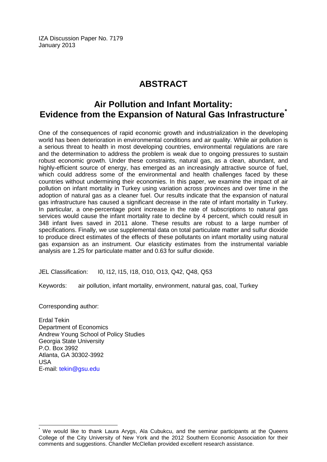IZA Discussion Paper No. 7179 January 2013

# **ABSTRACT**

# **Air Pollution and Infant Mortality: Evidence from the Expansion of Natural Gas Infrastructure[\\*](#page-2-0)**

One of the consequences of rapid economic growth and industrialization in the developing world has been deterioration in environmental conditions and air quality. While air pollution is a serious threat to health in most developing countries, environmental regulations are rare and the determination to address the problem is weak due to ongoing pressures to sustain robust economic growth. Under these constraints, natural gas, as a clean, abundant, and highly-efficient source of energy, has emerged as an increasingly attractive source of fuel, which could address some of the environmental and health challenges faced by these countries without undermining their economies. In this paper, we examine the impact of air pollution on infant mortality in Turkey using variation across provinces and over time in the adoption of natural gas as a cleaner fuel. Our results indicate that the expansion of natural gas infrastructure has caused a significant decrease in the rate of infant mortality in Turkey. In particular, a one-percentage point increase in the rate of subscriptions to natural gas services would cause the infant mortality rate to decline by 4 percent, which could result in 348 infant lives saved in 2011 alone. These results are robust to a large number of specifications. Finally, we use supplemental data on total particulate matter and sulfur dioxide to produce direct estimates of the effects of these pollutants on infant mortality using natural gas expansion as an instrument. Our elasticity estimates from the instrumental variable analysis are 1.25 for particulate matter and 0.63 for sulfur dioxide.

JEL Classification: I0, I12, I15, I18, O10, O13, Q42, Q48, Q53

Keywords: air pollution, infant mortality, environment, natural gas, coal, Turkey

Corresponding author:

Erdal Tekin Department of Economics Andrew Young School of Policy Studies Georgia State University P.O. Box 3992 Atlanta, GA 30302-3992 USA E-mail: [tekin@gsu.edu](mailto:tekin@gsu.edu)

<span id="page-2-0"></span>We would like to thank Laura Arygs, Ala Cubukcu, and the seminar participants at the Queens College of the City University of New York and the 2012 Southern Economic Association for their comments and suggestions. Chandler McClellan provided excellent research assistance.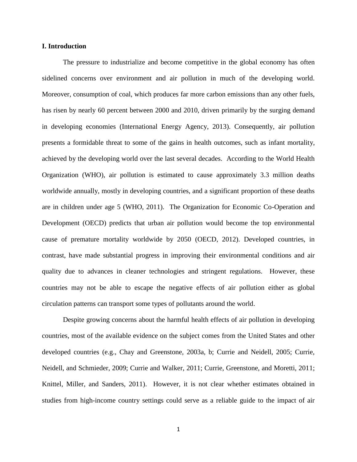#### **I. Introduction**

The pressure to industrialize and become competitive in the global economy has often sidelined concerns over environment and air pollution in much of the developing world. Moreover, consumption of coal, which produces far more carbon emissions than any other fuels, has risen by nearly 60 percent between 2000 and 2010, driven primarily by the surging demand in developing economies (International Energy Agency, 2013). Consequently, air pollution presents a formidable threat to some of the gains in health outcomes, such as infant mortality, achieved by the developing world over the last several decades. According to the World Health Organization (WHO), air pollution is estimated to cause approximately 3.3 million deaths worldwide annually, mostly in developing countries, and a significant proportion of these deaths are in children under age 5 (WHO, 2011). The Organization for Economic Co-Operation and Development (OECD) predicts that urban air pollution would become the top environmental cause of premature mortality worldwide by 2050 (OECD, 2012). Developed countries, in contrast, have made substantial progress in improving their environmental conditions and air quality due to advances in cleaner technologies and stringent regulations. However, these countries may not be able to escape the negative effects of air pollution either as global circulation patterns can transport some types of pollutants around the world.

Despite growing concerns about the harmful health effects of air pollution in developing countries, most of the available evidence on the subject comes from the United States and other developed countries (e.g., Chay and Greenstone, 2003a, b; Currie and Neidell, 2005; Currie, Neidell, and Schmieder, 2009; Currie and Walker, 2011; Currie, Greenstone, and Moretti, 2011; Knittel, Miller, and Sanders, 2011). However, it is not clear whether estimates obtained in studies from high-income country settings could serve as a reliable guide to the impact of air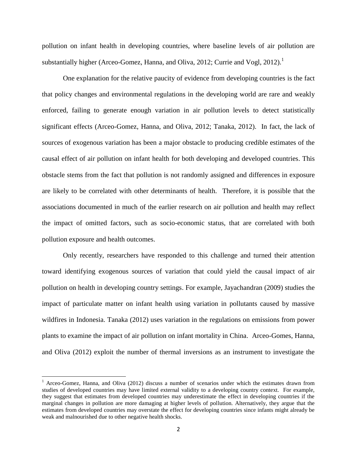pollution on infant health in developing countries, where baseline levels of air pollution are substantially higher (Arceo-Gomez, Hanna, and Oliva, 2012; Currie and Vogl,  $2012$ ).<sup>1</sup>

One explanation for the relative paucity of evidence from developing countries is the fact that policy changes and environmental regulations in the developing world are rare and weakly enforced, failing to generate enough variation in air pollution levels to detect statistically significant effects (Arceo-Gomez, Hanna, and Oliva, 2012; Tanaka, 2012). In fact, the lack of sources of exogenous variation has been a major obstacle to producing credible estimates of the causal effect of air pollution on infant health for both developing and developed countries. This obstacle stems from the fact that pollution is not randomly assigned and differences in exposure are likely to be correlated with other determinants of health. Therefore, it is possible that the associations documented in much of the earlier research on air pollution and health may reflect the impact of omitted factors, such as socio-economic status, that are correlated with both pollution exposure and health outcomes.

Only recently, researchers have responded to this challenge and turned their attention toward identifying exogenous sources of variation that could yield the causal impact of air pollution on health in developing country settings. For example, Jayachandran (2009) studies the impact of particulate matter on infant health using variation in pollutants caused by massive wildfires in Indonesia. Tanaka (2012) uses variation in the regulations on emissions from power plants to examine the impact of air pollution on infant mortality in China. Arceo-Gomes, Hanna, and Oliva (2012) exploit the number of thermal inversions as an instrument to investigate the

l

<sup>&</sup>lt;sup>1</sup> Arceo-Gomez, Hanna, and Oliva (2012) discuss a number of scenarios under which the estimates drawn from studies of developed countries may have limited external validity to a developing country context. For example, they suggest that estimates from developed countries may underestimate the effect in developing countries if the marginal changes in pollution are more damaging at higher levels of pollution. Alternatively, they argue that the estimates from developed countries may overstate the effect for developing countries since infants might already be weak and malnourished due to other negative health shocks.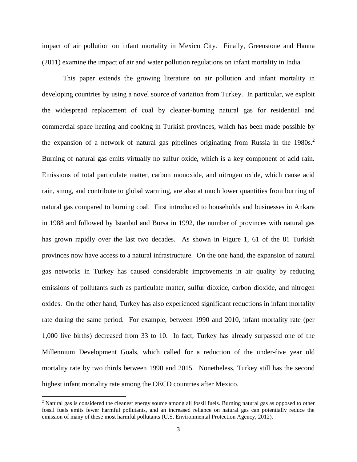impact of air pollution on infant mortality in Mexico City. Finally, Greenstone and Hanna (2011) examine the impact of air and water pollution regulations on infant mortality in India.

This paper extends the growing literature on air pollution and infant mortality in developing countries by using a novel source of variation from Turkey. In particular, we exploit the widespread replacement of coal by cleaner-burning natural gas for residential and commercial space heating and cooking in Turkish provinces, which has been made possible by the expansion of a network of natural gas pipelines originating from Russia in the  $1980s^2$ . Burning of natural gas emits virtually no sulfur oxide, which is a key component of acid rain. Emissions of total particulate matter, carbon monoxide, and nitrogen oxide, which cause acid rain, smog, and contribute to global warming, are also at much lower quantities from burning of natural gas compared to burning coal. First introduced to households and businesses in Ankara in 1988 and followed by Istanbul and Bursa in 1992, the number of provinces with natural gas has grown rapidly over the last two decades. As shown in Figure 1, 61 of the 81 Turkish provinces now have access to a natural infrastructure. On the one hand, the expansion of natural gas networks in Turkey has caused considerable improvements in air quality by reducing emissions of pollutants such as particulate matter, sulfur dioxide, carbon dioxide, and nitrogen oxides. On the other hand, Turkey has also experienced significant reductions in infant mortality rate during the same period. For example, between 1990 and 2010, infant mortality rate (per 1,000 live births) decreased from 33 to 10. In fact, Turkey has already surpassed one of the Millennium Development Goals, which called for a reduction of the under-five year old mortality rate by two thirds between 1990 and 2015. Nonetheless, Turkey still has the second highest infant mortality rate among the OECD countries after Mexico.

 $\overline{\phantom{a}}$ 

 $2$  Natural gas is considered the cleanest energy source among all fossil fuels. Burning natural gas as opposed to other fossil fuels emits fewer harmful pollutants, and an increased reliance on natural gas can potentially reduce the emission of many of these most harmful pollutants (U.S. Environmental Protection Agency, 2012).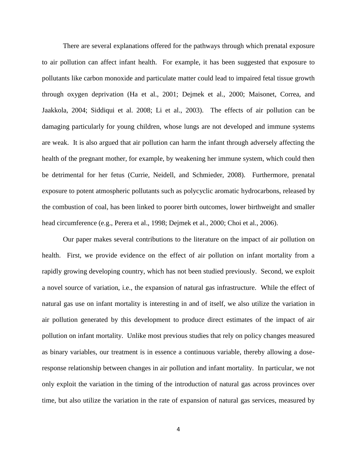There are several explanations offered for the pathways through which prenatal exposure to air pollution can affect infant health. For example, it has been suggested that exposure to pollutants like carbon monoxide and particulate matter could lead to impaired fetal tissue growth through oxygen deprivation (Ha et al., 2001; Dejmek et al., 2000; Maisonet, Correa, and Jaakkola, 2004; Siddiqui et al. 2008; Li et al., 2003). The effects of air pollution can be damaging particularly for young children, whose lungs are not developed and immune systems are weak. It is also argued that air pollution can harm the infant through adversely affecting the health of the pregnant mother, for example, by weakening her immune system, which could then be detrimental for her fetus (Currie, Neidell, and Schmieder, 2008). Furthermore, prenatal exposure to potent atmospheric pollutants such as polycyclic aromatic hydrocarbons, released by the combustion of coal, has been linked to poorer birth outcomes, lower birthweight and smaller head circumference (e.g., Perera et al., 1998; Dejmek et al., 2000; Choi et al., 2006).

Our paper makes several contributions to the literature on the impact of air pollution on health. First, we provide evidence on the effect of air pollution on infant mortality from a rapidly growing developing country, which has not been studied previously. Second, we exploit a novel source of variation, i.e., the expansion of natural gas infrastructure. While the effect of natural gas use on infant mortality is interesting in and of itself, we also utilize the variation in air pollution generated by this development to produce direct estimates of the impact of air pollution on infant mortality. Unlike most previous studies that rely on policy changes measured as binary variables, our treatment is in essence a continuous variable, thereby allowing a doseresponse relationship between changes in air pollution and infant mortality. In particular, we not only exploit the variation in the timing of the introduction of natural gas across provinces over time, but also utilize the variation in the rate of expansion of natural gas services, measured by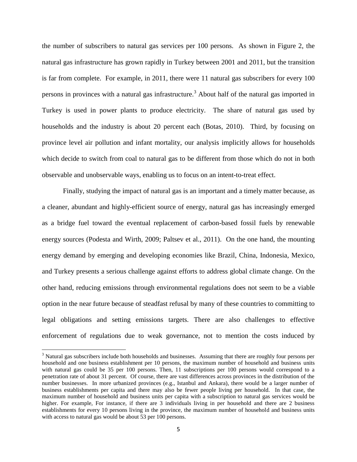the number of subscribers to natural gas services per 100 persons. As shown in Figure 2, the natural gas infrastructure has grown rapidly in Turkey between 2001 and 2011, but the transition is far from complete. For example, in 2011, there were 11 natural gas subscribers for every 100 persons in provinces with a natural gas infrastructure.<sup>3</sup> About half of the natural gas imported in Turkey is used in power plants to produce electricity. The share of natural gas used by households and the industry is about 20 percent each (Botas, 2010). Third, by focusing on province level air pollution and infant mortality, our analysis implicitly allows for households which decide to switch from coal to natural gas to be different from those which do not in both observable and unobservable ways, enabling us to focus on an intent-to-treat effect.

Finally, studying the impact of natural gas is an important and a timely matter because, as a cleaner, abundant and highly-efficient source of energy, natural gas has increasingly emerged as a bridge fuel toward the eventual replacement of carbon-based fossil fuels by renewable energy sources (Podesta and Wirth, 2009; Paltsev et al., 2011). On the one hand, the mounting energy demand by emerging and developing economies like Brazil, China, Indonesia, Mexico, and Turkey presents a serious challenge against efforts to address global climate change. On the other hand, reducing emissions through environmental regulations does not seem to be a viable option in the near future because of steadfast refusal by many of these countries to committing to legal obligations and setting emissions targets. There are also challenges to effective enforcement of regulations due to weak governance, not to mention the costs induced by

 $\overline{\phantom{a}}$ 

<sup>&</sup>lt;sup>3</sup> Natural gas subscribers include both households and businesses. Assuming that there are roughly four persons per household and one business establishment per 10 persons, the maximum number of household and business units with natural gas could be 35 per 100 persons. Then, 11 subscriptions per 100 persons would correspond to a penetration rate of about 31 percent. Of course, there are vast differences across provinces in the distribution of the number businesses. In more urbanized provinces (e.g., Istanbul and Ankara), there would be a larger number of business establishments per capita and there may also be fewer people living per household. In that case, the maximum number of household and business units per capita with a subscription to natural gas services would be higher. For example, For instance, if there are 3 individuals living in per household and there are 2 business establishments for every 10 persons living in the province, the maximum number of household and business units with access to natural gas would be about 53 per 100 persons.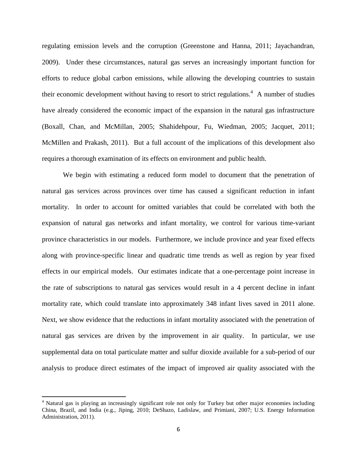regulating emission levels and the corruption (Greenstone and Hanna, 2011; Jayachandran, 2009). Under these circumstances, natural gas serves an increasingly important function for efforts to reduce global carbon emissions, while allowing the developing countries to sustain their economic development without having to resort to strict regulations.<sup>4</sup> A number of studies have already considered the economic impact of the expansion in the natural gas infrastructure (Boxall, Chan, and McMillan, 2005; Shahidehpour, Fu, Wiedman, 2005; Jacquet, 2011; McMillen and Prakash, 2011). But a full account of the implications of this development also requires a thorough examination of its effects on environment and public health.

We begin with estimating a reduced form model to document that the penetration of natural gas services across provinces over time has caused a significant reduction in infant mortality. In order to account for omitted variables that could be correlated with both the expansion of natural gas networks and infant mortality, we control for various time-variant province characteristics in our models. Furthermore, we include province and year fixed effects along with province-specific linear and quadratic time trends as well as region by year fixed effects in our empirical models. Our estimates indicate that a one-percentage point increase in the rate of subscriptions to natural gas services would result in a 4 percent decline in infant mortality rate, which could translate into approximately 348 infant lives saved in 2011 alone. Next, we show evidence that the reductions in infant mortality associated with the penetration of natural gas services are driven by the improvement in air quality. In particular, we use supplemental data on total particulate matter and sulfur dioxide available for a sub-period of our analysis to produce direct estimates of the impact of improved air quality associated with the

 $\overline{\phantom{a}}$ 

<sup>&</sup>lt;sup>4</sup> Natural gas is playing an increasingly significant role not only for Turkey but other major economies including China, Brazil, and India (e.g., Jiping, 2010; DeShazo, Ladislaw, and Primiani, 2007; U.S. Energy Information Administration, 2011).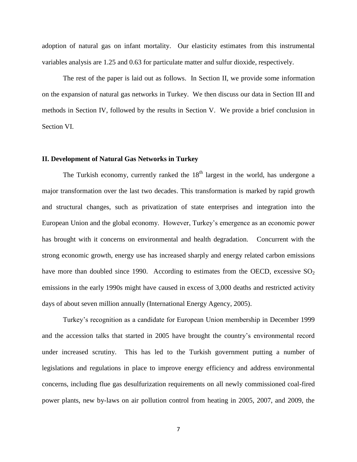adoption of natural gas on infant mortality. Our elasticity estimates from this instrumental variables analysis are 1.25 and 0.63 for particulate matter and sulfur dioxide, respectively.

The rest of the paper is laid out as follows. In Section II, we provide some information on the expansion of natural gas networks in Turkey. We then discuss our data in Section III and methods in Section IV, followed by the results in Section V. We provide a brief conclusion in Section VI.

#### **II. Development of Natural Gas Networks in Turkey**

The Turkish economy, currently ranked the  $18<sup>th</sup>$  largest in the world, has undergone a major transformation over the last two decades. This transformation is marked by rapid growth and structural changes, such as privatization of state enterprises and integration into the European Union and the global economy. However, Turkey's emergence as an economic power has brought with it concerns on environmental and health degradation. Concurrent with the strong economic growth, energy use has increased sharply and energy related carbon emissions have more than doubled since 1990. According to estimates from the OECD, excessive  $SO_2$ emissions in the early 1990s might have caused in excess of 3,000 deaths and restricted activity days of about seven million annually (International Energy Agency, 2005).

Turkey's recognition as a candidate for European Union membership in December 1999 and the accession talks that started in 2005 have brought the country's environmental record under increased scrutiny. This has led to the Turkish government putting a number of legislations and regulations in place to improve energy efficiency and address environmental concerns, including flue gas desulfurization requirements on all newly commissioned coal-fired power plants, new by-laws on air pollution control from heating in 2005, 2007, and 2009, the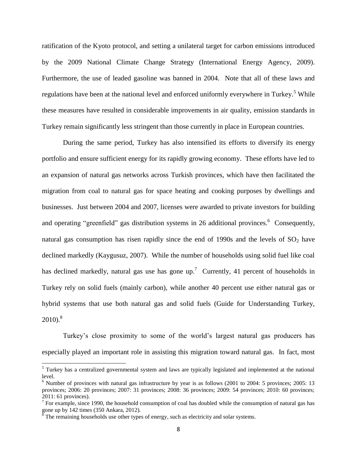ratification of the Kyoto protocol, and setting a unilateral target for carbon emissions introduced by the 2009 National Climate Change Strategy (International Energy Agency, 2009). Furthermore, the use of leaded gasoline was banned in 2004. Note that all of these laws and regulations have been at the national level and enforced uniformly everywhere in Turkey.<sup>5</sup> While these measures have resulted in considerable improvements in air quality, emission standards in Turkey remain significantly less stringent than those currently in place in European countries.

During the same period, Turkey has also intensified its efforts to diversify its energy portfolio and ensure sufficient energy for its rapidly growing economy. These efforts have led to an expansion of natural gas networks across Turkish provinces, which have then facilitated the migration from coal to natural gas for space heating and cooking purposes by dwellings and businesses. Just between 2004 and 2007, licenses were awarded to private investors for building and operating "greenfield" gas distribution systems in 26 additional provinces. Consequently, natural gas consumption has risen rapidly since the end of 1990s and the levels of  $SO_2$  have declined markedly (Kaygusuz, 2007). While the number of households using solid fuel like coal has declined markedly, natural gas use has gone up.<sup>7</sup> Currently, 41 percent of households in Turkey rely on solid fuels (mainly carbon), while another 40 percent use either natural gas or hybrid systems that use both natural gas and solid fuels (Guide for Understanding Turkey,  $2010$ .<sup>8</sup>

Turkey's close proximity to some of the world's largest natural gas producers has especially played an important role in assisting this migration toward natural gas. In fact, most

<sup>&</sup>lt;sup>5</sup> Turkey has a centralized governmental system and laws are typically legislated and implemented at the national level.

<sup>&</sup>lt;sup>6</sup> Number of provinces with natural gas infrastructure by year is as follows (2001 to 2004: 5 provinces; 2005: 13 provinces; 2006: 20 provinces; 2007: 31 provinces; 2008: 36 provinces; 2009: 54 provinces; 2010: 60 provinces; 2011: 61 provinces).

 $<sup>7</sup>$  For example, since 1990, the household consumption of coal has doubled while the consumption of natural gas has</sup> gone up by 142 times (350 Ankara, 2012).<br><sup>8</sup> The remaining households use other types of energy, such as electricity and solar systems.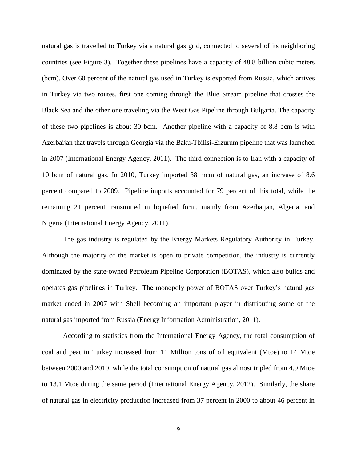natural gas is travelled to Turkey via a natural gas grid, connected to several of its neighboring countries (see Figure 3). Together these pipelines have a capacity of 48.8 billion cubic meters (bcm). Over 60 percent of the natural gas used in Turkey is exported from Russia, which arrives in Turkey via two routes, first one coming through the Blue Stream pipeline that crosses the Black Sea and the other one traveling via the West Gas Pipeline through Bulgaria. The capacity of these two pipelines is about 30 bcm. Another pipeline with a capacity of 8.8 bcm is with Azerbaijan that travels through Georgia via the Baku-Tbilisi-Erzurum pipeline that was launched in 2007 (International Energy Agency, 2011). The third connection is to Iran with a capacity of 10 bcm of natural gas. In 2010, Turkey imported 38 mcm of natural gas, an increase of 8.6 percent compared to 2009. Pipeline imports accounted for 79 percent of this total, while the remaining 21 percent transmitted in liquefied form, mainly from Azerbaijan, Algeria, and Nigeria (International Energy Agency, 2011).

The gas industry is regulated by the Energy Markets Regulatory Authority in Turkey. Although the majority of the market is open to private competition, the industry is currently dominated by the state-owned Petroleum Pipeline Corporation (BOTAS), which also builds and operates gas pipelines in Turkey. The monopoly power of BOTAS over Turkey's natural gas market ended in 2007 with Shell becoming an important player in distributing some of the natural gas imported from Russia (Energy Information Administration, 2011).

According to statistics from the International Energy Agency, the total consumption of coal and peat in Turkey increased from 11 Million tons of oil equivalent (Mtoe) to 14 Mtoe between 2000 and 2010, while the total consumption of natural gas almost tripled from 4.9 Mtoe to 13.1 Mtoe during the same period (International Energy Agency, 2012). Similarly, the share of natural gas in electricity production increased from 37 percent in 2000 to about 46 percent in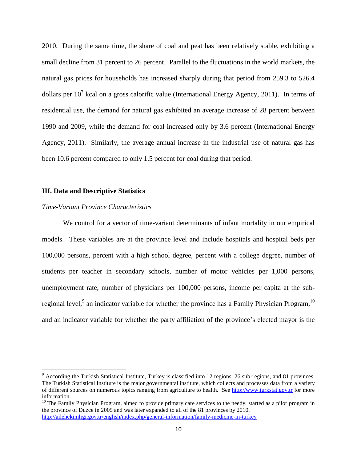2010. During the same time, the share of coal and peat has been relatively stable, exhibiting a small decline from 31 percent to 26 percent. Parallel to the fluctuations in the world markets, the natural gas prices for households has increased sharply during that period from 259.3 to 526.4 dollars per  $10^7$  kcal on a gross calorific value (International Energy Agency, 2011). In terms of residential use, the demand for natural gas exhibited an average increase of 28 percent between 1990 and 2009, while the demand for coal increased only by 3.6 percent (International Energy Agency, 2011). Similarly, the average annual increase in the industrial use of natural gas has been 10.6 percent compared to only 1.5 percent for coal during that period.

#### **III. Data and Descriptive Statistics**

#### *Time-Variant Province Characteristics*

 $\overline{\phantom{a}}$ 

We control for a vector of time-variant determinants of infant mortality in our empirical models. These variables are at the province level and include hospitals and hospital beds per 100,000 persons, percent with a high school degree, percent with a college degree, number of students per teacher in secondary schools, number of motor vehicles per 1,000 persons, unemployment rate, number of physicians per 100,000 persons, income per capita at the subregional level,  $9$  an indicator variable for whether the province has a Family Physician Program,  $^{10}$ and an indicator variable for whether the party affiliation of the province's elected mayor is the

 $9$  According the Turkish Statistical Institute, Turkey is classified into 12 regions, 26 sub-regions, and 81 provinces. The Turkish Statistical Institute is the major governmental institute, which collects and processes data from a variety of different sources on numerous topics ranging from agriculture to health. See [http://www.turkstat.gov.tr](http://www.turkstat.gov.tr/) for more information.

 $10$  The Family Physician Program, aimed to provide primary care services to the needy, started as a pilot program in the province of Duzce in 2005 and was later expanded to all of the 81 provinces by 2010. <http://ailehekimligi.gov.tr/english/index.php/general-information/family-medicine-in-turkey>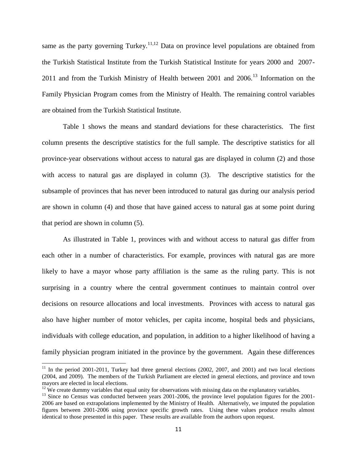same as the party governing Turkey.<sup>11,12</sup> Data on province level populations are obtained from the Turkish Statistical Institute from the Turkish Statistical Institute for years 2000 and 2007- 2011 and from the Turkish Ministry of Health between 2001 and  $2006$ <sup>13</sup> Information on the Family Physician Program comes from the Ministry of Health. The remaining control variables are obtained from the Turkish Statistical Institute.

Table 1 shows the means and standard deviations for these characteristics. The first column presents the descriptive statistics for the full sample. The descriptive statistics for all province-year observations without access to natural gas are displayed in column (2) and those with access to natural gas are displayed in column (3). The descriptive statistics for the subsample of provinces that has never been introduced to natural gas during our analysis period are shown in column (4) and those that have gained access to natural gas at some point during that period are shown in column (5).

As illustrated in Table 1, provinces with and without access to natural gas differ from each other in a number of characteristics. For example, provinces with natural gas are more likely to have a mayor whose party affiliation is the same as the ruling party. This is not surprising in a country where the central government continues to maintain control over decisions on resource allocations and local investments. Provinces with access to natural gas also have higher number of motor vehicles, per capita income, hospital beds and physicians, individuals with college education, and population, in addition to a higher likelihood of having a family physician program initiated in the province by the government. Again these differences

 $\overline{a}$ 

 $11$  In the period 2001-2011, Turkey had three general elections (2002, 2007, and 2001) and two local elections (2004, and 2009). The members of the Turkish Parliament are elected in general elections, and province and town mayors are elected in local elections.

 $12$  We create dummy variables that equal unity for observations with missing data on the explanatory variables.

<sup>&</sup>lt;sup>13</sup> Since no Census was conducted between years 2001-2006, the province level population figures for the 2001-2006 are based on extrapolations implemented by the Ministry of Health. Alternatively, we imputed the population figures between 2001-2006 using province specific growth rates. Using these values produce results almost identical to those presented in this paper. These results are available from the authors upon request.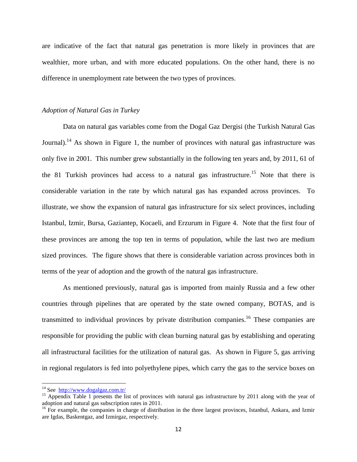are indicative of the fact that natural gas penetration is more likely in provinces that are wealthier, more urban, and with more educated populations. On the other hand, there is no difference in unemployment rate between the two types of provinces.

#### *Adoption of Natural Gas in Turkey*

Data on natural gas variables come from the Dogal Gaz Dergisi (the Turkish Natural Gas Journal).<sup>14</sup> As shown in Figure 1, the number of provinces with natural gas infrastructure was only five in 2001. This number grew substantially in the following ten years and, by 2011, 61 of the 81 Turkish provinces had access to a natural gas infrastructure.<sup>15</sup> Note that there is considerable variation in the rate by which natural gas has expanded across provinces. To illustrate, we show the expansion of natural gas infrastructure for six select provinces, including Istanbul, Izmir, Bursa, Gaziantep, Kocaeli, and Erzurum in Figure 4. Note that the first four of these provinces are among the top ten in terms of population, while the last two are medium sized provinces. The figure shows that there is considerable variation across provinces both in terms of the year of adoption and the growth of the natural gas infrastructure.

As mentioned previously, natural gas is imported from mainly Russia and a few other countries through pipelines that are operated by the state owned company, BOTAS, and is transmitted to individual provinces by private distribution companies.<sup>16</sup> These companies are responsible for providing the public with clean burning natural gas by establishing and operating all infrastructural facilities for the utilization of natural gas. As shown in Figure 5, gas arriving in regional regulators is fed into polyethylene pipes, which carry the gas to the service boxes on

 $\overline{a}$ 

<sup>&</sup>lt;sup>14</sup> See <http://www.dogalgaz.com.tr/>

<sup>&</sup>lt;sup>15</sup> Appendix Table 1 presents the list of provinces with natural gas infrastructure by 2011 along with the year of adoption and natural gas subscription rates in 2011.

<sup>&</sup>lt;sup>16</sup> For example, the companies in charge of distribution in the three largest provinces, Istanbul, Ankara, and Izmir are Igdas, Baskentgaz, and Izmirgaz, respectively.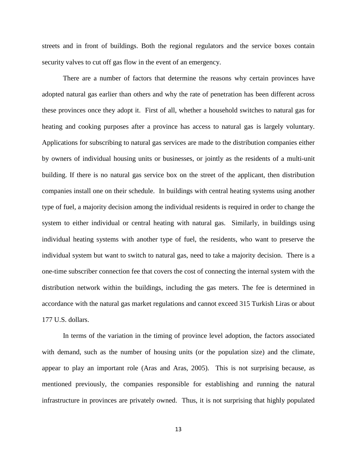streets and in front of buildings. Both the regional regulators and the service boxes contain security valves to cut off gas flow in the event of an emergency.

There are a number of factors that determine the reasons why certain provinces have adopted natural gas earlier than others and why the rate of penetration has been different across these provinces once they adopt it. First of all, whether a household switches to natural gas for heating and cooking purposes after a province has access to natural gas is largely voluntary. Applications for subscribing to natural gas services are made to the distribution companies either by owners of individual housing units or businesses, or jointly as the residents of a multi-unit building. If there is no natural gas service box on the street of the applicant, then distribution companies install one on their schedule. In buildings with central heating systems using another type of fuel, a majority decision among the individual residents is required in order to change the system to either individual or central heating with natural gas. Similarly, in buildings using individual heating systems with another type of fuel, the residents, who want to preserve the individual system but want to switch to natural gas, need to take a majority decision. There is a one-time subscriber connection fee that covers the cost of connecting the internal system with the distribution network within the buildings, including the gas meters. The fee is determined in accordance with the natural gas market regulations and cannot exceed 315 Turkish Liras or about 177 U.S. dollars.

In terms of the variation in the timing of province level adoption, the factors associated with demand, such as the number of housing units (or the population size) and the climate, appear to play an important role (Aras and Aras, 2005). This is not surprising because, as mentioned previously, the companies responsible for establishing and running the natural infrastructure in provinces are privately owned. Thus, it is not surprising that highly populated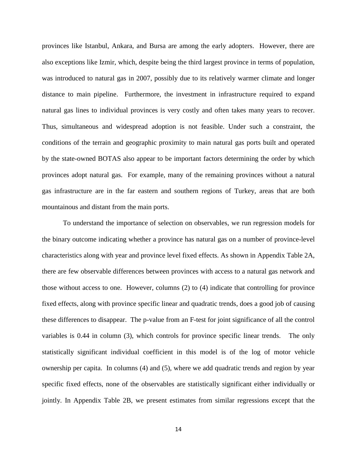provinces like Istanbul, Ankara, and Bursa are among the early adopters. However, there are also exceptions like Izmir, which, despite being the third largest province in terms of population, was introduced to natural gas in 2007, possibly due to its relatively warmer climate and longer distance to main pipeline. Furthermore, the investment in infrastructure required to expand natural gas lines to individual provinces is very costly and often takes many years to recover. Thus, simultaneous and widespread adoption is not feasible. Under such a constraint, the conditions of the terrain and geographic proximity to main natural gas ports built and operated by the state-owned BOTAS also appear to be important factors determining the order by which provinces adopt natural gas. For example, many of the remaining provinces without a natural gas infrastructure are in the far eastern and southern regions of Turkey, areas that are both mountainous and distant from the main ports.

To understand the importance of selection on observables, we run regression models for the binary outcome indicating whether a province has natural gas on a number of province-level characteristics along with year and province level fixed effects. As shown in Appendix Table 2A, there are few observable differences between provinces with access to a natural gas network and those without access to one. However, columns (2) to (4) indicate that controlling for province fixed effects, along with province specific linear and quadratic trends, does a good job of causing these differences to disappear. The p-value from an F-test for joint significance of all the control variables is 0.44 in column (3), which controls for province specific linear trends. The only statistically significant individual coefficient in this model is of the log of motor vehicle ownership per capita. In columns (4) and (5), where we add quadratic trends and region by year specific fixed effects, none of the observables are statistically significant either individually or jointly. In Appendix Table 2B, we present estimates from similar regressions except that the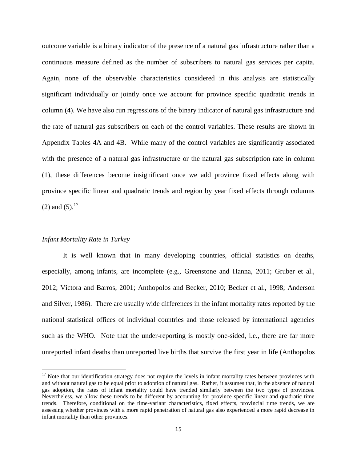outcome variable is a binary indicator of the presence of a natural gas infrastructure rather than a continuous measure defined as the number of subscribers to natural gas services per capita. Again, none of the observable characteristics considered in this analysis are statistically significant individually or jointly once we account for province specific quadratic trends in column (4). We have also run regressions of the binary indicator of natural gas infrastructure and the rate of natural gas subscribers on each of the control variables. These results are shown in Appendix Tables 4A and 4B. While many of the control variables are significantly associated with the presence of a natural gas infrastructure or the natural gas subscription rate in column (1), these differences become insignificant once we add province fixed effects along with province specific linear and quadratic trends and region by year fixed effects through columns (2) and  $(5)$ .<sup>17</sup>

#### *Infant Mortality Rate in Turkey*

 $\overline{\phantom{a}}$ 

It is well known that in many developing countries, official statistics on deaths, especially, among infants, are incomplete (e.g., Greenstone and Hanna, 2011; Gruber et al., 2012; Victora and Barros, 2001; Anthopolos and Becker, 2010; Becker et al., 1998; Anderson and Silver, 1986). There are usually wide differences in the infant mortality rates reported by the national statistical offices of individual countries and those released by international agencies such as the WHO. Note that the under-reporting is mostly one-sided, i.e., there are far more unreported infant deaths than unreported live births that survive the first year in life (Anthopolos

 $17$  Note that our identification strategy does not require the levels in infant mortality rates between provinces with and without natural gas to be equal prior to adoption of natural gas. Rather, it assumes that, in the absence of natural gas adoption, the rates of infant mortality could have trended similarly between the two types of provinces. Nevertheless, we allow these trends to be different by accounting for province specific linear and quadratic time trends. Therefore, conditional on the time-variant characteristics, fixed effects, provincial time trends, we are assessing whether provinces with a more rapid penetration of natural gas also experienced a more rapid decrease in infant mortality than other provinces.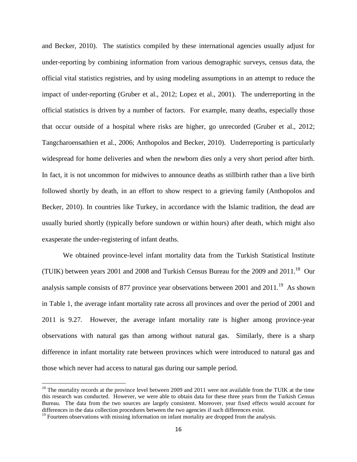and Becker, 2010). The statistics compiled by these international agencies usually adjust for under-reporting by combining information from various demographic surveys, census data, the official vital statistics registries, and by using modeling assumptions in an attempt to reduce the impact of under-reporting (Gruber et al., 2012; Lopez et al., 2001). The underreporting in the official statistics is driven by a number of factors. For example, many deaths, especially those that occur outside of a hospital where risks are higher, go unrecorded (Gruber et al., 2012; Tangcharoensathien et al., 2006; Anthopolos and Becker, 2010). Underreporting is particularly widespread for home deliveries and when the newborn dies only a very short period after birth. In fact, it is not uncommon for midwives to announce deaths as stillbirth rather than a live birth followed shortly by death, in an effort to show respect to a grieving family (Anthopolos and Becker, 2010). In countries like Turkey, in accordance with the Islamic tradition, the dead are usually buried shortly (typically before sundown or within hours) after death, which might also exasperate the under-registering of infant deaths.

We obtained province-level infant mortality data from the Turkish Statistical Institute (TUIK) between years 2001 and 2008 and Turkish Census Bureau for the 2009 and 2011.<sup>18</sup> Our analysis sample consists of 877 province year observations between 2001 and  $2011.^{19}$  As shown in Table 1, the average infant mortality rate across all provinces and over the period of 2001 and 2011 is 9.27. However, the average infant mortality rate is higher among province-year observations with natural gas than among without natural gas. Similarly, there is a sharp difference in infant mortality rate between provinces which were introduced to natural gas and those which never had access to natural gas during our sample period.

 $\overline{a}$ 

 $18$  The mortality records at the province level between 2009 and 2011 were not available from the TUIK at the time this research was conducted. However, we were able to obtain data for these three years from the Turkish Census Bureau. The data from the two sources are largely consistent. Moreover, year fixed effects would account for differences in the data collection procedures between the two agencies if such differences exist.

 $19$  Fourteen observations with missing information on infant mortality are dropped from the analysis.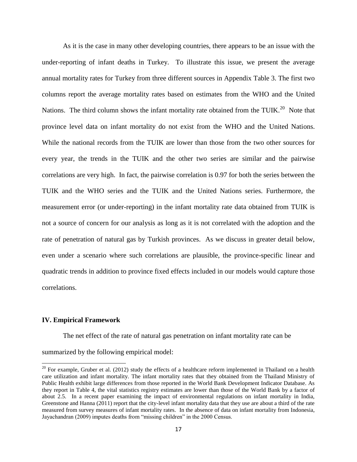As it is the case in many other developing countries, there appears to be an issue with the under-reporting of infant deaths in Turkey. To illustrate this issue, we present the average annual mortality rates for Turkey from three different sources in Appendix Table 3. The first two columns report the average mortality rates based on estimates from the WHO and the United Nations. The third column shows the infant mortality rate obtained from the TUIK.<sup>20</sup> Note that province level data on infant mortality do not exist from the WHO and the United Nations. While the national records from the TUIK are lower than those from the two other sources for every year, the trends in the TUIK and the other two series are similar and the pairwise correlations are very high. In fact, the pairwise correlation is 0.97 for both the series between the TUIK and the WHO series and the TUIK and the United Nations series. Furthermore, the measurement error (or under-reporting) in the infant mortality rate data obtained from TUIK is not a source of concern for our analysis as long as it is not correlated with the adoption and the rate of penetration of natural gas by Turkish provinces. As we discuss in greater detail below, even under a scenario where such correlations are plausible, the province-specific linear and quadratic trends in addition to province fixed effects included in our models would capture those correlations.

#### **IV. Empirical Framework**

 $\overline{a}$ 

The net effect of the rate of natural gas penetration on infant mortality rate can be

summarized by the following empirical model:

 $20$  For example, Gruber et al. (2012) study the effects of a healthcare reform implemented in Thailand on a health care utilization and infant mortality. The infant mortality rates that they obtained from the Thailand Ministry of Public Health exhibit large differences from those reported in the World Bank Development Indicator Database. As they report in Table 4, the vital statistics registry estimates are lower than those of the World Bank by a factor of about 2.5. In a recent paper examining the impact of environmental regulations on infant mortality in India, Greenstone and Hanna (2011) report that the city-level infant mortality data that they use are about a third of the rate measured from survey measures of infant mortality rates. In the absence of data on infant mortality from Indonesia, Jayachandran (2009) imputes deaths from "missing children" in the 2000 Census.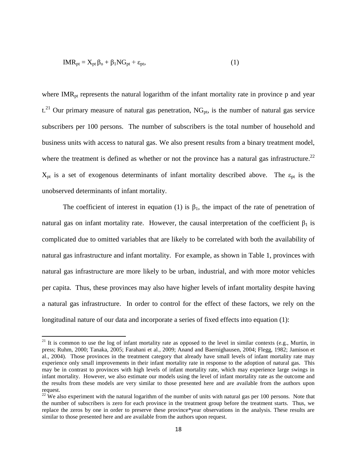$$
IMR_{pt} = X_{pt} \beta_o + \beta_1 NG_{pt} + \varepsilon_{pt},
$$
\n(1)

where  $IMR<sub>pt</sub>$  represents the natural logarithm of the infant mortality rate in province p and year  $t.^{21}$  Our primary measure of natural gas penetration, NG<sub>pt</sub>, is the number of natural gas service subscribers per 100 persons. The number of subscribers is the total number of household and business units with access to natural gas. We also present results from a binary treatment model, where the treatment is defined as whether or not the province has a natural gas infrastructure.<sup>22</sup>  $X_{pt}$  is a set of exogenous determinants of infant mortality described above. The  $\varepsilon_{pt}$  is the unobserved determinants of infant mortality.

The coefficient of interest in equation (1) is  $\beta_1$ , the impact of the rate of penetration of natural gas on infant mortality rate. However, the causal interpretation of the coefficient  $β_1$  is complicated due to omitted variables that are likely to be correlated with both the availability of natural gas infrastructure and infant mortality. For example, as shown in Table 1, provinces with natural gas infrastructure are more likely to be urban, industrial, and with more motor vehicles per capita. Thus, these provinces may also have higher levels of infant mortality despite having a natural gas infrastructure. In order to control for the effect of these factors, we rely on the longitudinal nature of our data and incorporate a series of fixed effects into equation (1):

 $\overline{a}$ 

 $21$  It is common to use the log of infant mortality rate as opposed to the level in similar contexts (e.g., Murtin, in press; Ruhm, 2000; Tanaka, 2005; Farahani et al., 2009; Anand and Baernighausen, 2004; Flegg, 1982; Jamison et al., 2004). Those provinces in the treatment category that already have small levels of infant mortality rate may experience only small improvements in their infant mortality rate in response to the adoption of natural gas. This may be in contrast to provinces with high levels of infant mortality rate, which may experience large swings in infant mortality. However, we also estimate our models using the level of infant mortality rate as the outcome and the results from these models are very similar to those presented here and are available from the authors upon request.

 $^{22}$  We also experiment with the natural logarithm of the number of units with natural gas per 100 persons. Note that the number of subscribers is zero for each province in the treatment group before the treatment starts. Thus, we replace the zeros by one in order to preserve these province\*year observations in the analysis. These results are similar to those presented here and are available from the authors upon request.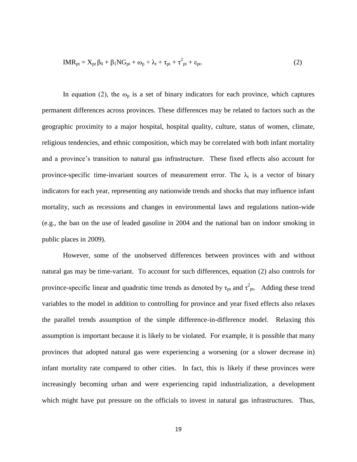$$
IMR_{pt} = X_{pt} \beta_0 + \beta_1 NG_{pt} + \omega_p + \lambda_t + \tau_{pt} + \tau_{pt}^2 + \epsilon_{pt}.
$$
 (2)

In equation (2), the  $\omega_p$  is a set of binary indicators for each province, which captures permanent differences across provinces. These differences may be related to factors such as the geographic proximity to a major hospital, hospital quality, culture, status of women, climate, religious tendencies, and ethnic composition, which may be correlated with both infant mortality and a province's transition to natural gas infrastructure. These fixed effects also account for province-specific time-invariant sources of measurement error. The  $\lambda_t$  is a vector of binary indicators for each year, representing any nationwide trends and shocks that may influence infant mortality, such as recessions and changes in environmental laws and regulations nation-wide (e.g., the ban on the use of leaded gasoline in 2004 and the national ban on indoor smoking in public places in 2009).

However, some of the unobserved differences between provinces with and without natural gas may be time-variant. To account for such differences, equation (2) also controls for province-specific linear and quadratic time trends as denoted by  $\tau_{pt}$  and  $\tau_{pt}^2$ . Adding these trend variables to the model in addition to controlling for province and year fixed effects also relaxes the parallel trends assumption of the simple difference-in-difference model. Relaxing this assumption is important because it is likely to be violated. For example, it is possible that many provinces that adopted natural gas were experiencing a worsening (or a slower decrease in) infant mortality rate compared to other cities. In fact, this is likely if these provinces were increasingly becoming urban and were experiencing rapid industrialization, a development which might have put pressure on the officials to invest in natural gas infrastructures. Thus,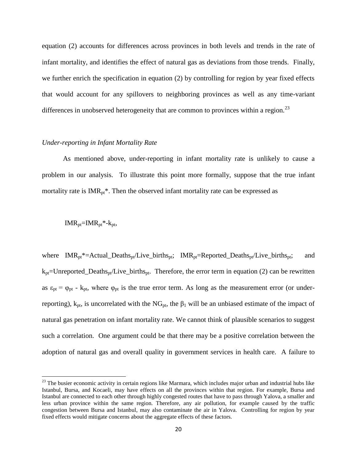equation (2) accounts for differences across provinces in both levels and trends in the rate of infant mortality, and identifies the effect of natural gas as deviations from those trends. Finally, we further enrich the specification in equation (2) by controlling for region by year fixed effects that would account for any spillovers to neighboring provinces as well as any time-variant differences in unobserved heterogeneity that are common to provinces within a region.<sup>23</sup>

#### *Under-reporting in Infant Mortality Rate*

As mentioned above, under-reporting in infant mortality rate is unlikely to cause a problem in our analysis. To illustrate this point more formally, suppose that the true infant mortality rate is  $IMR_{pt}^*$ . Then the observed infant mortality rate can be expressed as

$$
IMR_{pt} = IMR_{pt} * -k_{pt},
$$

l

where  $IMR_{pt}^* = Actual\_Deaths_{pt}/Live\_births_{pt};$   $IMR_{pt} = Reported\_Deaths_{pt}/Live\_births_{pt};$  and  $k_{pt}$ =Unreported\_Deaths<sub>pt</sub>/Live\_births<sub>pt</sub>. Therefore, the error term in equation (2) can be rewritten as  $\varepsilon_{pt} = \varphi_{pt}$  -  $k_{pt}$ , where  $\varphi_{pt}$  is the true error term. As long as the measurement error (or underreporting),  $k_{pt}$ , is uncorrelated with the NG<sub>pt</sub>, the β<sub>1</sub> will be an unbiased estimate of the impact of natural gas penetration on infant mortality rate. We cannot think of plausible scenarios to suggest such a correlation. One argument could be that there may be a positive correlation between the adoption of natural gas and overall quality in government services in health care. A failure to

 $23$  The busier economic activity in certain regions like Marmara, which includes major urban and industrial hubs like Istanbul, Bursa, and Kocaeli, may have effects on all the provinces within that region. For example, Bursa and Istanbul are connected to each other through highly congested routes that have to pass through Yalova, a smaller and less urban province within the same region. Therefore, any air pollution, for example caused by the traffic congestion between Bursa and Istanbul, may also contaminate the air in Yalova. Controlling for region by year fixed effects would mitigate concerns about the aggregate effects of these factors.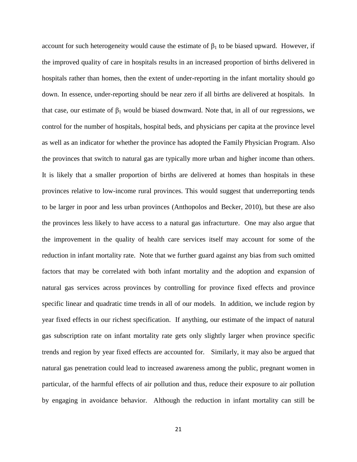account for such heterogeneity would cause the estimate of  $\beta_1$  to be biased upward. However, if the improved quality of care in hospitals results in an increased proportion of births delivered in hospitals rather than homes, then the extent of under-reporting in the infant mortality should go down. In essence, under-reporting should be near zero if all births are delivered at hospitals. In that case, our estimate of  $\beta_1$  would be biased downward. Note that, in all of our regressions, we control for the number of hospitals, hospital beds, and physicians per capita at the province level as well as an indicator for whether the province has adopted the Family Physician Program. Also the provinces that switch to natural gas are typically more urban and higher income than others. It is likely that a smaller proportion of births are delivered at homes than hospitals in these provinces relative to low-income rural provinces. This would suggest that underreporting tends to be larger in poor and less urban provinces (Anthopolos and Becker, 2010), but these are also the provinces less likely to have access to a natural gas infracturture. One may also argue that the improvement in the quality of health care services itself may account for some of the reduction in infant mortality rate. Note that we further guard against any bias from such omitted factors that may be correlated with both infant mortality and the adoption and expansion of natural gas services across provinces by controlling for province fixed effects and province specific linear and quadratic time trends in all of our models. In addition, we include region by year fixed effects in our richest specification. If anything, our estimate of the impact of natural gas subscription rate on infant mortality rate gets only slightly larger when province specific trends and region by year fixed effects are accounted for. Similarly, it may also be argued that natural gas penetration could lead to increased awareness among the public, pregnant women in particular, of the harmful effects of air pollution and thus, reduce their exposure to air pollution by engaging in avoidance behavior. Although the reduction in infant mortality can still be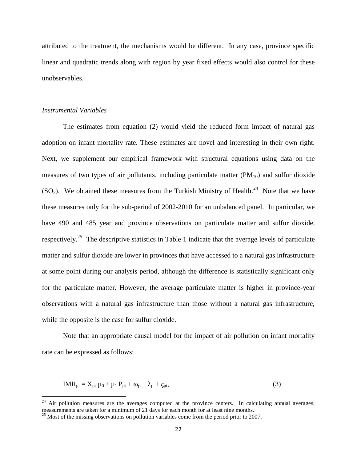attributed to the treatment, the mechanisms would be different. In any case, province specific linear and quadratic trends along with region by year fixed effects would also control for these unobservables.

#### *Instrumental Variables*

 $\overline{\phantom{a}}$ 

The estimates from equation (2) would yield the reduced form impact of natural gas adoption on infant mortality rate. These estimates are novel and interesting in their own right. Next, we supplement our empirical framework with structural equations using data on the measures of two types of air pollutants, including particulate matter  $(PM_{10})$  and sulfur dioxide  $(SO_2)$ . We obtained these measures from the Turkish Ministry of Health.<sup>24</sup> Note that we have these measures only for the sub-period of 2002-2010 for an unbalanced panel. In particular, we have 490 and 485 year and province observations on particulate matter and sulfur dioxide, respectively.<sup>25</sup> The descriptive statistics in Table 1 indicate that the average levels of particulate matter and sulfur dioxide are lower in provinces that have accessed to a natural gas infrastructure at some point during our analysis period, although the difference is statistically significant only for the particulate matter. However, the average particulate matter is higher in province-year observations with a natural gas infrastructure than those without a natural gas infrastructure, while the opposite is the case for sulfur dioxide.

Note that an appropriate causal model for the impact of air pollution on infant mortality rate can be expressed as follows:

$$
IMR_{pt} = X_{pt} \mu_0 + \mu_1 P_{pt} + \omega_p + \lambda_p + \zeta_{pt},
$$
\n(3)

 $24$  Air pollution measures are the averages computed at the province centers. In calculating annual averages, measurements are taken for a minimum of 21 days for each month for at least nine months.

<sup>&</sup>lt;sup>25</sup> Most of the missing observations on pollution variables come from the period prior to 2007.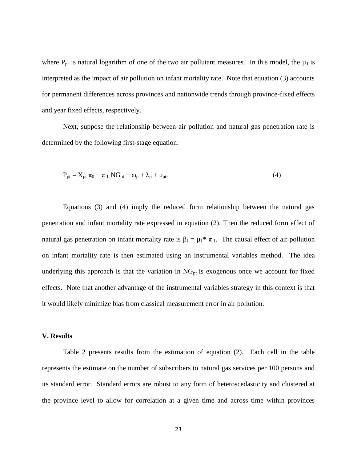where  $P_{pt}$  is natural logarithm of one of the two air pollutant measures. In this model, the  $\mu_1$  is interpreted as the impact of air pollution on infant mortality rate. Note that equation (3) accounts for permanent differences across provinces and nationwide trends through province-fixed effects and year fixed effects, respectively.

 Next, suppose the relationship between air pollution and natural gas penetration rate is determined by the following first-stage equation:

$$
P_{pt} = X_{pt} \pi_0 + \pi_1 NG_{pt} + \omega_p + \lambda_p + \upsilon_{pt}. \tag{4}
$$

Equations (3) and (4) imply the reduced form relationship between the natural gas penetration and infant mortality rate expressed in equation (2). Then the reduced form effect of natural gas penetration on infant mortality rate is  $\beta_1 = \mu_1^* \pi_1$ . The causal effect of air pollution on infant mortality rate is then estimated using an instrumental variables method. The idea underlying this approach is that the variation in  $NG_{pt}$  is exogenous once we account for fixed effects. Note that another advantage of the instrumental variables strategy in this context is that it would likely minimize bias from classical measurement error in air pollution.

#### **V. Results**

Table 2 presents results from the estimation of equation (2). Each cell in the table represents the estimate on the number of subscribers to natural gas services per 100 persons and its standard error. Standard errors are robust to any form of heteroscedasticity and clustered at the province level to allow for correlation at a given time and across time within provinces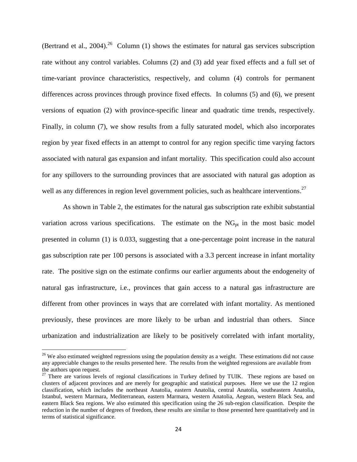(Bertrand et al., 2004).<sup>26</sup> Column (1) shows the estimates for natural gas services subscription rate without any control variables. Columns (2) and (3) add year fixed effects and a full set of time-variant province characteristics, respectively, and column (4) controls for permanent differences across provinces through province fixed effects. In columns (5) and (6), we present versions of equation (2) with province-specific linear and quadratic time trends, respectively. Finally, in column (7), we show results from a fully saturated model, which also incorporates region by year fixed effects in an attempt to control for any region specific time varying factors associated with natural gas expansion and infant mortality. This specification could also account for any spillovers to the surrounding provinces that are associated with natural gas adoption as well as any differences in region level government policies, such as healthcare interventions.<sup>27</sup>

As shown in Table 2, the estimates for the natural gas subscription rate exhibit substantial variation across various specifications. The estimate on the  $NG_{pt}$  in the most basic model presented in column (1) is 0.033, suggesting that a one-percentage point increase in the natural gas subscription rate per 100 persons is associated with a 3.3 percent increase in infant mortality rate. The positive sign on the estimate confirms our earlier arguments about the endogeneity of natural gas infrastructure, i.e., provinces that gain access to a natural gas infrastructure are different from other provinces in ways that are correlated with infant mortality. As mentioned previously, these provinces are more likely to be urban and industrial than others. Since urbanization and industrialization are likely to be positively correlated with infant mortality,

 $\overline{\phantom{a}}$ 

 $26$  We also estimated weighted regressions using the population density as a weight. These estimations did not cause any appreciable changes to the results presented here. The results from the weighted regressions are available from the authors upon request.

 $27$  There are various levels of regional classifications in Turkey defined by TUIK. These regions are based on clusters of adjacent provinces and are merely for geographic and statistical purposes. Here we use the 12 region classification, which includes the northeast Anatolia, eastern Anatolia, central Anatolia, southeastern Anatolia, Istanbul, western Marmara, Mediterranean, eastern Marmara, western Anatolia, Aegean, western Black Sea, and eastern Black Sea regions. We also estimated this specification using the 26 sub-region classification. Despite the reduction in the number of degrees of freedom, these results are similar to those presented here quantitatively and in terms of statistical significance.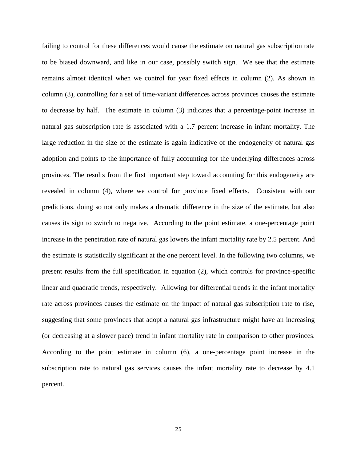failing to control for these differences would cause the estimate on natural gas subscription rate to be biased downward, and like in our case, possibly switch sign. We see that the estimate remains almost identical when we control for year fixed effects in column (2). As shown in column (3), controlling for a set of time-variant differences across provinces causes the estimate to decrease by half. The estimate in column (3) indicates that a percentage-point increase in natural gas subscription rate is associated with a 1.7 percent increase in infant mortality. The large reduction in the size of the estimate is again indicative of the endogeneity of natural gas adoption and points to the importance of fully accounting for the underlying differences across provinces. The results from the first important step toward accounting for this endogeneity are revealed in column (4), where we control for province fixed effects. Consistent with our predictions, doing so not only makes a dramatic difference in the size of the estimate, but also causes its sign to switch to negative. According to the point estimate, a one-percentage point increase in the penetration rate of natural gas lowers the infant mortality rate by 2.5 percent. And the estimate is statistically significant at the one percent level. In the following two columns, we present results from the full specification in equation (2), which controls for province-specific linear and quadratic trends, respectively. Allowing for differential trends in the infant mortality rate across provinces causes the estimate on the impact of natural gas subscription rate to rise, suggesting that some provinces that adopt a natural gas infrastructure might have an increasing (or decreasing at a slower pace) trend in infant mortality rate in comparison to other provinces. According to the point estimate in column (6), a one-percentage point increase in the subscription rate to natural gas services causes the infant mortality rate to decrease by 4.1 percent.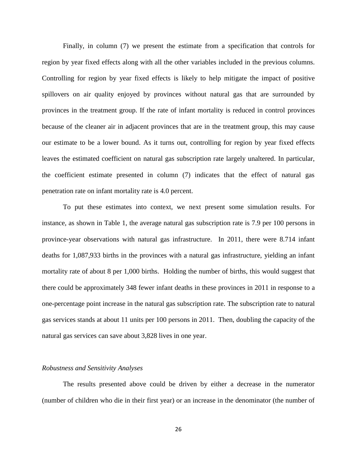Finally, in column (7) we present the estimate from a specification that controls for region by year fixed effects along with all the other variables included in the previous columns. Controlling for region by year fixed effects is likely to help mitigate the impact of positive spillovers on air quality enjoyed by provinces without natural gas that are surrounded by provinces in the treatment group. If the rate of infant mortality is reduced in control provinces because of the cleaner air in adjacent provinces that are in the treatment group, this may cause our estimate to be a lower bound. As it turns out, controlling for region by year fixed effects leaves the estimated coefficient on natural gas subscription rate largely unaltered. In particular, the coefficient estimate presented in column (7) indicates that the effect of natural gas penetration rate on infant mortality rate is 4.0 percent.

To put these estimates into context, we next present some simulation results. For instance, as shown in Table 1, the average natural gas subscription rate is 7.9 per 100 persons in province-year observations with natural gas infrastructure. In 2011, there were 8.714 infant deaths for 1,087,933 births in the provinces with a natural gas infrastructure, yielding an infant mortality rate of about 8 per 1,000 births. Holding the number of births, this would suggest that there could be approximately 348 fewer infant deaths in these provinces in 2011 in response to a one-percentage point increase in the natural gas subscription rate. The subscription rate to natural gas services stands at about 11 units per 100 persons in 2011. Then, doubling the capacity of the natural gas services can save about 3,828 lives in one year.

#### *Robustness and Sensitivity Analyses*

 The results presented above could be driven by either a decrease in the numerator (number of children who die in their first year) or an increase in the denominator (the number of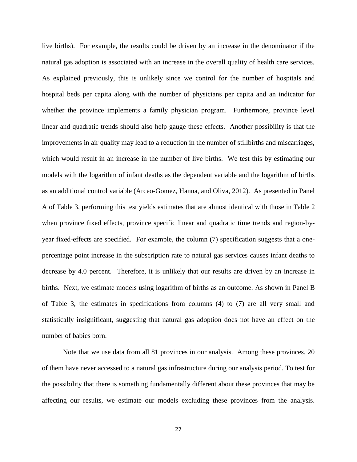live births). For example, the results could be driven by an increase in the denominator if the natural gas adoption is associated with an increase in the overall quality of health care services. As explained previously, this is unlikely since we control for the number of hospitals and hospital beds per capita along with the number of physicians per capita and an indicator for whether the province implements a family physician program. Furthermore, province level linear and quadratic trends should also help gauge these effects. Another possibility is that the improvements in air quality may lead to a reduction in the number of stillbirths and miscarriages, which would result in an increase in the number of live births. We test this by estimating our models with the logarithm of infant deaths as the dependent variable and the logarithm of births as an additional control variable (Arceo-Gomez, Hanna, and Oliva, 2012). As presented in Panel A of Table 3, performing this test yields estimates that are almost identical with those in Table 2 when province fixed effects, province specific linear and quadratic time trends and region-byyear fixed-effects are specified. For example, the column (7) specification suggests that a onepercentage point increase in the subscription rate to natural gas services causes infant deaths to decrease by 4.0 percent. Therefore, it is unlikely that our results are driven by an increase in births. Next, we estimate models using logarithm of births as an outcome. As shown in Panel B of Table 3, the estimates in specifications from columns (4) to (7) are all very small and statistically insignificant, suggesting that natural gas adoption does not have an effect on the number of babies born.

Note that we use data from all 81 provinces in our analysis. Among these provinces, 20 of them have never accessed to a natural gas infrastructure during our analysis period. To test for the possibility that there is something fundamentally different about these provinces that may be affecting our results, we estimate our models excluding these provinces from the analysis.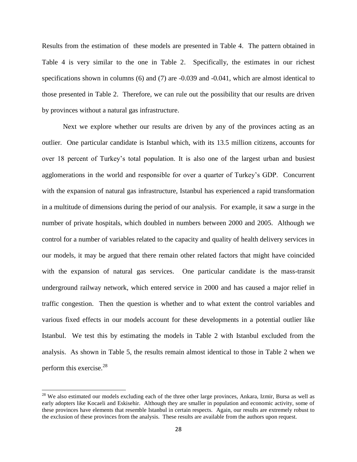Results from the estimation of these models are presented in Table 4. The pattern obtained in Table 4 is very similar to the one in Table 2. Specifically, the estimates in our richest specifications shown in columns (6) and (7) are -0.039 and -0.041, which are almost identical to those presented in Table 2. Therefore, we can rule out the possibility that our results are driven by provinces without a natural gas infrastructure.

Next we explore whether our results are driven by any of the provinces acting as an outlier. One particular candidate is Istanbul which, with its 13.5 million citizens, accounts for over 18 percent of Turkey's total population. It is also one of the largest urban and busiest agglomerations in the world and responsible for over a quarter of Turkey's GDP. Concurrent with the expansion of natural gas infrastructure, Istanbul has experienced a rapid transformation in a multitude of dimensions during the period of our analysis. For example, it saw a surge in the number of private hospitals, which doubled in numbers between 2000 and 2005. Although we control for a number of variables related to the capacity and quality of health delivery services in our models, it may be argued that there remain other related factors that might have coincided with the expansion of natural gas services. One particular candidate is the mass-transit underground railway network, which entered service in 2000 and has caused a major relief in traffic congestion. Then the question is whether and to what extent the control variables and various fixed effects in our models account for these developments in a potential outlier like Istanbul. We test this by estimating the models in Table 2 with Istanbul excluded from the analysis. As shown in Table 5, the results remain almost identical to those in Table 2 when we perform this exercise.<sup>28</sup>

 $\overline{\phantom{a}}$ 

 $28$  We also estimated our models excluding each of the three other large provinces, Ankara, Izmir, Bursa as well as early adopters like Kocaeli and Eskisehir. Although they are smaller in population and economic activity, some of these provinces have elements that resemble Istanbul in certain respects. Again, our results are extremely robust to the exclusion of these provinces from the analysis. These results are available from the authors upon request.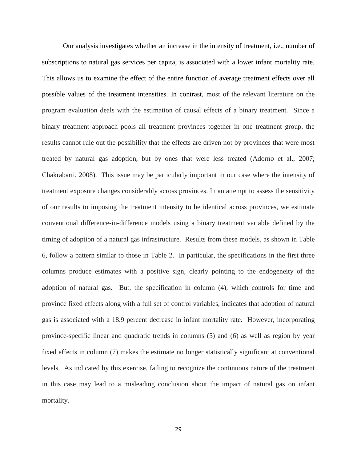Our analysis investigates whether an increase in the intensity of treatment, i.e., number of subscriptions to natural gas services per capita, is associated with a lower infant mortality rate. This allows us to examine the effect of the entire function of average treatment effects over all possible values of the treatment intensities. In contrast, most of the relevant literature on the program evaluation deals with the estimation of causal effects of a binary treatment. Since a binary treatment approach pools all treatment provinces together in one treatment group, the results cannot rule out the possibility that the effects are driven not by provinces that were most treated by natural gas adoption, but by ones that were less treated (Adorno et al., 2007; Chakrabarti, 2008). This issue may be particularly important in our case where the intensity of treatment exposure changes considerably across provinces. In an attempt to assess the sensitivity of our results to imposing the treatment intensity to be identical across provinces, we estimate conventional difference-in-difference models using a binary treatment variable defined by the timing of adoption of a natural gas infrastructure. Results from these models, as shown in Table 6, follow a pattern similar to those in Table 2. In particular, the specifications in the first three columns produce estimates with a positive sign, clearly pointing to the endogeneity of the adoption of natural gas. But, the specification in column (4), which controls for time and province fixed effects along with a full set of control variables, indicates that adoption of natural gas is associated with a 18.9 percent decrease in infant mortality rate. However, incorporating province-specific linear and quadratic trends in columns (5) and (6) as well as region by year fixed effects in column (7) makes the estimate no longer statistically significant at conventional levels. As indicated by this exercise, failing to recognize the continuous nature of the treatment in this case may lead to a misleading conclusion about the impact of natural gas on infant mortality.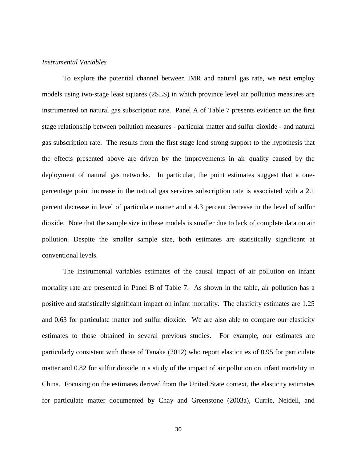#### *Instrumental Variables*

To explore the potential channel between IMR and natural gas rate, we next employ models using two-stage least squares (2SLS) in which province level air pollution measures are instrumented on natural gas subscription rate. Panel A of Table 7 presents evidence on the first stage relationship between pollution measures - particular matter and sulfur dioxide - and natural gas subscription rate. The results from the first stage lend strong support to the hypothesis that the effects presented above are driven by the improvements in air quality caused by the deployment of natural gas networks. In particular, the point estimates suggest that a onepercentage point increase in the natural gas services subscription rate is associated with a 2.1 percent decrease in level of particulate matter and a 4.3 percent decrease in the level of sulfur dioxide. Note that the sample size in these models is smaller due to lack of complete data on air pollution. Despite the smaller sample size, both estimates are statistically significant at conventional levels.

The instrumental variables estimates of the causal impact of air pollution on infant mortality rate are presented in Panel B of Table 7. As shown in the table, air pollution has a positive and statistically significant impact on infant mortality. The elasticity estimates are 1.25 and 0.63 for particulate matter and sulfur dioxide. We are also able to compare our elasticity estimates to those obtained in several previous studies. For example, our estimates are particularly consistent with those of Tanaka (2012) who report elasticities of 0.95 for particulate matter and 0.82 for sulfur dioxide in a study of the impact of air pollution on infant mortality in China. Focusing on the estimates derived from the United State context, the elasticity estimates for particulate matter documented by Chay and Greenstone (2003a), Currie, Neidell, and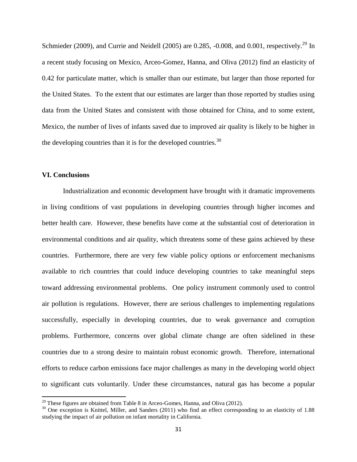Schmieder (2009), and Currie and Neidell (2005) are 0.285,  $-0.008$ , and 0.001, respectively.<sup>29</sup> In a recent study focusing on Mexico, Arceo-Gomez, Hanna, and Oliva (2012) find an elasticity of 0.42 for particulate matter, which is smaller than our estimate, but larger than those reported for the United States. To the extent that our estimates are larger than those reported by studies using data from the United States and consistent with those obtained for China, and to some extent, Mexico, the number of lives of infants saved due to improved air quality is likely to be higher in the developing countries than it is for the developed countries.<sup>30</sup>

#### **VI. Conclusions**

 $\overline{\phantom{a}}$ 

Industrialization and economic development have brought with it dramatic improvements in living conditions of vast populations in developing countries through higher incomes and better health care. However, these benefits have come at the substantial cost of deterioration in environmental conditions and air quality, which threatens some of these gains achieved by these countries. Furthermore, there are very few viable policy options or enforcement mechanisms available to rich countries that could induce developing countries to take meaningful steps toward addressing environmental problems. One policy instrument commonly used to control air pollution is regulations. However, there are serious challenges to implementing regulations successfully, especially in developing countries, due to weak governance and corruption problems. Furthermore, concerns over global climate change are often sidelined in these countries due to a strong desire to maintain robust economic growth. Therefore, international efforts to reduce carbon emissions face major challenges as many in the developing world object to significant cuts voluntarily. Under these circumstances, natural gas has become a popular

 $^{29}$  These figures are obtained from Table 8 in Arceo-Gomes, Hanna, and Oliva (2012).

 $30$  One exception is Knittel, Miller, and Sanders (2011) who find an effect corresponding to an elasticity of 1.88 studying the impact of air pollution on infant mortality in California.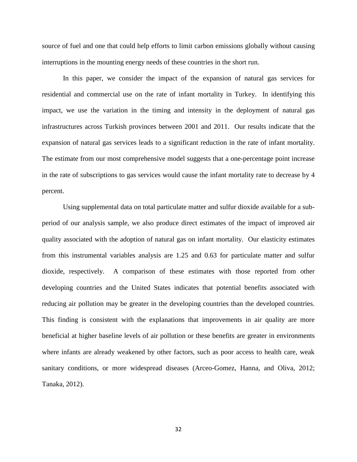source of fuel and one that could help efforts to limit carbon emissions globally without causing interruptions in the mounting energy needs of these countries in the short run.

In this paper, we consider the impact of the expansion of natural gas services for residential and commercial use on the rate of infant mortality in Turkey. In identifying this impact, we use the variation in the timing and intensity in the deployment of natural gas infrastructures across Turkish provinces between 2001 and 2011. Our results indicate that the expansion of natural gas services leads to a significant reduction in the rate of infant mortality. The estimate from our most comprehensive model suggests that a one-percentage point increase in the rate of subscriptions to gas services would cause the infant mortality rate to decrease by 4 percent.

Using supplemental data on total particulate matter and sulfur dioxide available for a subperiod of our analysis sample, we also produce direct estimates of the impact of improved air quality associated with the adoption of natural gas on infant mortality. Our elasticity estimates from this instrumental variables analysis are 1.25 and 0.63 for particulate matter and sulfur dioxide, respectively. A comparison of these estimates with those reported from other developing countries and the United States indicates that potential benefits associated with reducing air pollution may be greater in the developing countries than the developed countries. This finding is consistent with the explanations that improvements in air quality are more beneficial at higher baseline levels of air pollution or these benefits are greater in environments where infants are already weakened by other factors, such as poor access to health care, weak sanitary conditions, or more widespread diseases (Arceo-Gomez, Hanna, and Oliva, 2012; Tanaka, 2012).

32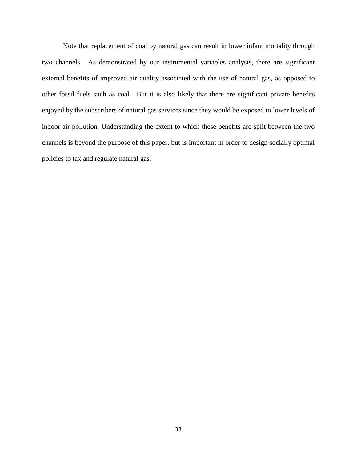Note that replacement of coal by natural gas can result in lower infant mortality through two channels. As demonstrated by our instrumental variables analysis, there are significant external benefits of improved air quality associated with the use of natural gas, as opposed to other fossil fuels such as coal. But it is also likely that there are significant private benefits enjoyed by the subscribers of natural gas services since they would be exposed to lower levels of indoor air pollution. Understanding the extent to which these benefits are split between the two channels is beyond the purpose of this paper, but is important in order to design socially optimal policies to tax and regulate natural gas.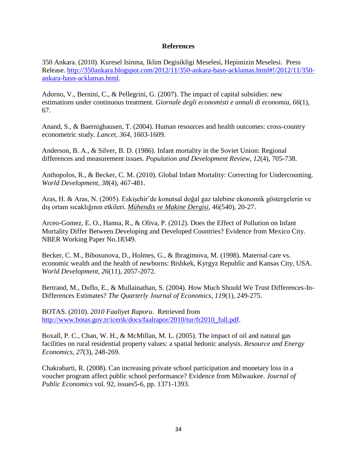#### **References**

350 Ankara. (2010). Kuresel Isinma, Iklim Degisikligi Meselesi, Hepimizin Meselesi. Press Release. [http://350ankara.blogspot.com/2012/11/350-ankara-basn-acklamas.html#!/2012/11/350](http://350ankara.blogspot.com/2012/11/350-ankara-basn-acklamas.html#!/2012/11/350-ankara-basn-acklamas.html) [ankara-basn-acklamas.html.](http://350ankara.blogspot.com/2012/11/350-ankara-basn-acklamas.html#!/2012/11/350-ankara-basn-acklamas.html)

Adorno, V., Bernini, C., & Pellegrini, G. (2007). The impact of capital subsidies: new estimations under continuous treatment. *Giornale degli economisti e annali di economia, 66*(1), 67.

Anand, S., & Baernighausen, T. (2004). Human resources and health outcomes: cross-country econometric study. *Lancet, 364*, 1603-1609.

Anderson, B. A., & Silver, B. D. (1986). Infant mortality in the Soviet Union: Regional differences and measurement issues. *Population and Development Review, 12*(4), 705-738.

Anthopolos, R., & Becker, C. M. (2010). Global Infant Mortality: Correcting for Undercounting. *World Development, 38*(4), 467-481.

Aras, H. & Aras, N. (2005). Eskişehir'de konutsal doğal gaz talebine ekonomik göstergelerin ve dış ortam sıcaklığının etkileri. *Mühendis ve Makine Dergisi*, 46(540), 20-27.

Arceo-Gomez, E. O., Hanna, R., & Oliva, P. (2012). Does the Effect of Pollution on Infant Mortality Differ Between Developing and Developed Countries? Evidence from Mexico City. NBER Working Paper No.18349.

Becker, C. M., Bibosunova, D., Holmes, G., & Ibragimova, M. (1998). Maternal care vs. economic wealth and the health of newborns: Bishkek, Kyrgyz Republic and Kansas City, USA. *World Development, 26*(11), 2057-2072.

Bertrand, M., Duflo, E., & Mullainathan, S. (2004). How Much Should We Trust Differences-In-Differences Estimates? *The Quarterly Journal of Economics, 119*(1), 249-275.

BOTAS. (2010). *2010 Faaliyet Raporu*. Retrieved from [http://www.botas.gov.tr/icerik/docs/faalrapor/2010/tur/fr2010\\_full.pdf.](http://www.botas.gov.tr/icerik/docs/faalrapor/2010/tur/fr2010_full.pdf)

Boxall, P. C., Chan, W. H., & McMillan, M. L. (2005). The impact of oil and natural gas facilities on rural residential property values: a spatial hedonic analysis. *Resource and Energy Economics, 27*(3), 248-269.

Chakrabarti, R. (2008). Can increasing private school participation and monetary loss in a voucher program affect public school performance? Evidence from Milwaukee. *Journal of Public Economics* vol. 92, issues5-6, pp. 1371-1393.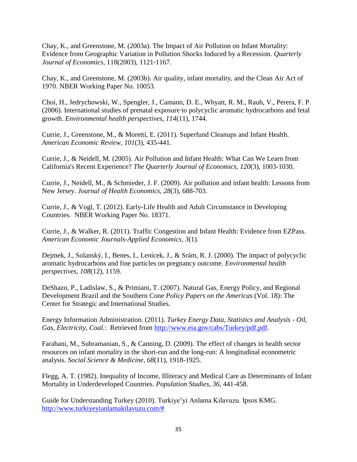Chay, K., and Greenstone, M. (2003a). The Impact of Air Pollution on Infant Mortality: Evidence from Geographic Variation in Pollution Shocks Induced by a Recession. *Quarterly Journal of Economics*, 118(2003), 1121-1167.

Chay, K., and Greenstone, M. (2003b). Air quality, infant mortality, and the Clean Air Act of 1970. NBER Working Paper No. 10053.

Choi, H., Jedrychowski, W., Spengler, J., Camann, D. E., Whyatt, R. M., Rauh, V., Perera, F. P. (2006). International studies of prenatal exposure to polycyclic aromatic hydrocarbons and fetal growth. *Environmental health perspectives, 114*(11), 1744.

Currie, J., Greenstone, M., & Moretti, E. (2011). Superfund Cleanups and Infant Health. *American Economic Review, 101*(3), 435-441.

Currie, J., & Neidell, M. (2005). Air Pollution and Infant Health: What Can We Learn from California's Recent Experience? *The Quarterly Journal of Economics, 120*(3), 1003-1030.

Currie, J., Neidell, M., & Schmieder, J. F. (2009). Air pollution and infant health: Lessons from New Jersey. *Journal of Health Economics, 28*(3), 688-703.

Currie, J., & Vogl, T. (2012). Early-Life Health and Adult Circumstance in Developing Countries. NBER Working Paper No. 18371.

Currie, J., & Walker, R. (2011). Traffic Congestion and Infant Health: Evidence from EZPass. *American Economic Journals-Applied Economics, 3*(1).

Dejmek, J., Solanský, I., Benes, I., Lenícek, J., & Srám, R. J. (2000). The impact of polycyclic aromatic hydrocarbons and fine particles on pregnancy outcome. *Environmental health perspectives, 108*(12), 1159.

DeShazo, P., Ladislaw, S., & Primiani, T. (2007). Natural Gas, Energy Policy, and Regional Development Brazil and the Southern Cone *Policy Papers on the Americas* (Vol. 18): The Center for Strategic and International Studies.

 Energy Information Administration. (2011). *Turkey Energy Data, Statistics and Analysis - Oil, Gas, Electricity, Coal.*: Retrieved from [http://www.eia.gov/cabs/Turkey/pdf.pdf.](http://www.eia.gov/cabs/Turkey/pdf.pdf)

 Farahani, M., Subramanian, S., & Canning, D. (2009). The effect of changes in health sector resources on infant mortality in the short-run and the long-run: A longitudinal econometric analysis. *Social Science & Medicine, 68*(11), 1918-1925.

Flegg, A. T. (1982). Inequality of Income, Illiteracy and Medical Care as Determinants of Infant Mortality in Underdeveloped Countries. *Population Studies, 36*, 441-458.

Guide for Understanding Turkey (2010). Turkiye'yi Anlama Kilavuzu. Ipsos KMG. [http://www.turkiyeyianlamakilavuzu.com/#](http://www.turkiyeyianlamakilavuzu.com/)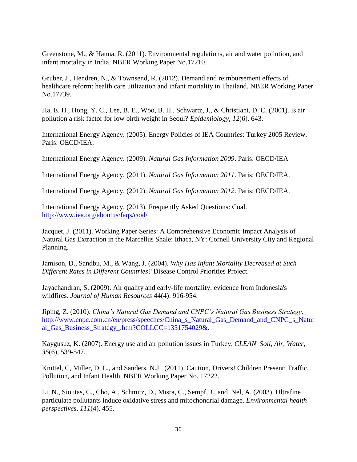Greenstone, M., & Hanna, R. (2011). Environmental regulations, air and water pollution, and infant mortality in India. NBER Working Paper No.17210.

Gruber, J., Hendren, N., & Townsend, R. (2012). Demand and reimbursement effects of healthcare reform: health care utilization and infant mortality in Thailand. NBER Working Paper No.17739.

Ha, E. H., Hong, Y. C., Lee, B. E., Woo, B. H., Schwartz, J., & Christiani, D. C. (2001). Is air pollution a risk factor for low birth weight in Seoul? *Epidemiology, 12*(6), 643.

International Energy Agency. (2005). Energy Policies of IEA Countries: Turkey 2005 Review. Paris: OECD/IEA.

International Energy Agency. (2009). *Natural Gas Information 2009*. Paris: OECD/IEA

International Energy Agency. (2011). *Natural Gas Information 2011*. Paris: OECD/IEA.

International Energy Agency. (2012). *Natural Gas Information 2012*. Paris: OECD/IEA.

International Energy Agency. (2013). Frequently Asked Questions: Coal. <http://www.iea.org/aboutus/faqs/coal/>

Jacquet, J. (2011). Working Paper Series: A Comprehensive Economic Impact Analysis of Natural Gas Extraction in the Marcellus Shale: Ithaca, NY: Cornell University City and Regional Planning.

Jamison, D., Sandbu, M., & Wang, J. (2004). *Why Has Infant Mortality Decreased at Such Different Rates in Different Countries?* Disease Control Priorities Project.

Jayachandran, S. (2009). Air quality and early-life mortality: evidence from Indonesia's wildfires. *Journal of Human Resources* 44(4): 916-954.

Jiping, Z. (2010). *China's Natural Gas Demand and CNPC's Natural Gas Business Strategy*. [http://www.cnpc.com.cn/en/press/speeches/China\\_s\\_Natural\\_Gas\\_Demand\\_and\\_CNPC\\_s\\_Natur](http://www.cnpc.com.cn/en/press/speeches/China_s_Natural_Gas_Demand_and_CNPC_s_Natural_Gas_Business_Strategy_.htm?COLLCC=1351754029&) [al\\_Gas\\_Business\\_Strategy\\_.htm?COLLCC=1351754029&.](http://www.cnpc.com.cn/en/press/speeches/China_s_Natural_Gas_Demand_and_CNPC_s_Natural_Gas_Business_Strategy_.htm?COLLCC=1351754029&)

Kaygusuz, K. (2007). Energy use and air pollution issues in Turkey. *CLEAN–Soil, Air, Water, 35*(6), 539-547.

Knittel, C, Miller, D. L., and Sanders, N.J. (2011). Caution, Drivers! Children Present: Traffic, Pollution, and Infant Health. NBER Working Paper No. 17222.

Li, N., Sioutas, C., Cho, A., Schmitz, D., Misra, C., Sempf, J., and Nel, A. (2003). Ultrafine particulate pollutants induce oxidative stress and mitochondrial damage. *Environmental health perspectives, 111*(4), 455.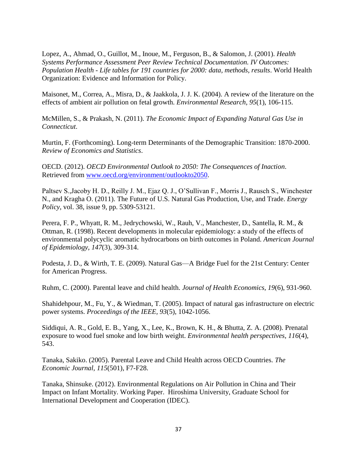Lopez, A., Ahmad, O., Guillot, M., Inoue, M., Ferguson, B., & Salomon, J. (2001). *Health Systems Performance Assessment Peer Review Technical Documentation. IV Outcomes: Population Health - Life tables for 191 countries for 2000: data, methods, results*. World Health Organization: Evidence and Information for Policy.

Maisonet, M., Correa, A., Misra, D., & Jaakkola, J. J. K. (2004). A review of the literature on the effects of ambient air pollution on fetal growth. *Environmental Research, 95*(1), 106-115.

McMillen, S., & Prakash, N. (2011). *The Economic Impact of Expanding Natural Gas Use in Connecticut*.

Murtin, F. (Forthcoming). Long-term Determinants of the Demographic Transition: 1870-2000. *Review of Economics and Statistics*.

OECD. (2012). *OECD Environmental Outlook to 2050: The Consequences of Inaction*. Retrieved from [www.oecd.org/environment/outlookto2050.](http://www.oecd.org/environment/outlookto2050)

Paltsev S.,Jacoby H. D., Reilly J. M., Ejaz Q. J., O'Sullivan F., Morris J., Rausch S., Winchester N., and Kragha O. (2011). The Future of U.S. Natural Gas Production, Use, and Trade. *Energy Policy*, vol. 38, issue 9, pp. 5309-53121.

Perera, F. P., Whyatt, R. M., Jedrychowski, W., Rauh, V., Manchester, D., Santella, R. M., & Ottman, R. (1998). Recent developments in molecular epidemiology: a study of the effects of environmental polycyclic aromatic hydrocarbons on birth outcomes in Poland. *American Journal of Epidemiology, 147*(3), 309-314.

Podesta, J. D., & Wirth, T. E. (2009). Natural Gas—A Bridge Fuel for the 21st Century: Center for American Progress.

Ruhm, C. (2000). Parental leave and child health. *Journal of Health Economics, 19*(6), 931-960.

Shahidehpour, M., Fu, Y., & Wiedman, T. (2005). Impact of natural gas infrastructure on electric power systems. *Proceedings of the IEEE, 93*(5), 1042-1056.

Siddiqui, A. R., Gold, E. B., Yang, X., Lee, K., Brown, K. H., & Bhutta, Z. A. (2008). Prenatal exposure to wood fuel smoke and low birth weight. *Environmental health perspectives, 116*(4), 543.

Tanaka, Sakiko. (2005). Parental Leave and Child Health across OECD Countries. *The Economic Journal, 115*(501), F7-F28.

Tanaka, Shinsuke. (2012). Environmental Regulations on Air Pollution in China and Their Impact on Infant Mortality. Working Paper. Hiroshima University, Graduate School for International Development and Cooperation (IDEC).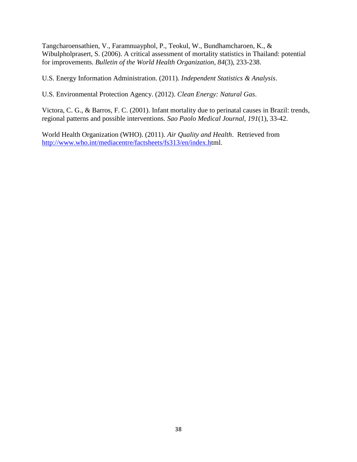Tangcharoensathien, V., Faramnuayphol, P., Teokul, W., Bundhamcharoen, K., & Wibulpholprasert, S. (2006). A critical assessment of mortality statistics in Thailand: potential for improvements. *Bulletin of the World Health Organization, 84*(3), 233-238.

U.S. Energy Information Administration. (2011). *Independent Statistics & Analysis*.

U.S. Environmental Protection Agency. (2012). *Clean Energy: Natural Gas*.

Victora, C. G., & Barros, F. C. (2001). Infant mortality due to perinatal causes in Brazil: trends, regional patterns and possible interventions. *Sao Paolo Medical Journal, 191*(1), 33-42.

World Health Organization (WHO). (2011). *Air Quality and Health*. Retrieved from [http://www.who.int/mediacentre/factsheets/fs313/en/index.ht](http://www.who.int/mediacentre/factsheets/fs313/en/index.h)ml.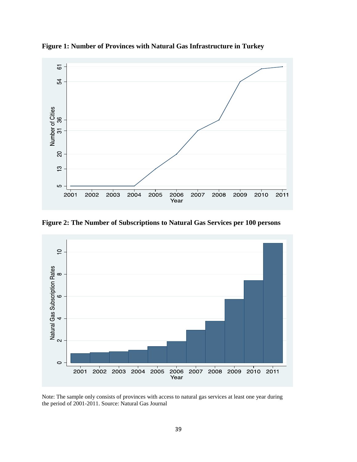

**Figure 1: Number of Provinces with Natural Gas Infrastructure in Turkey** 

**Figure 2: The Number of Subscriptions to Natural Gas Services per 100 persons** 



Note: The sample only consists of provinces with access to natural gas services at least one year during the period of 2001-2011. Source: Natural Gas Journal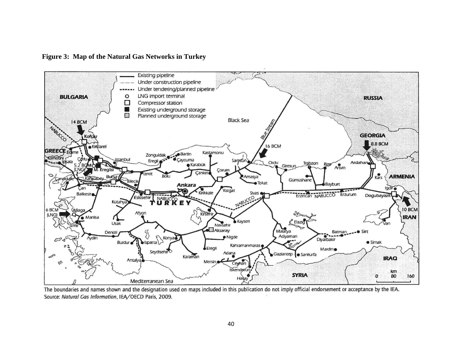**Figure 3: Map of the Natural Gas Networks in Turkey** 



The boundaries and names shown and the designation used on maps included in this publication do not imply official endorsement or acceptance by the IEA. Source: Natural Gas Information, IEA/OECD Paris, 2009.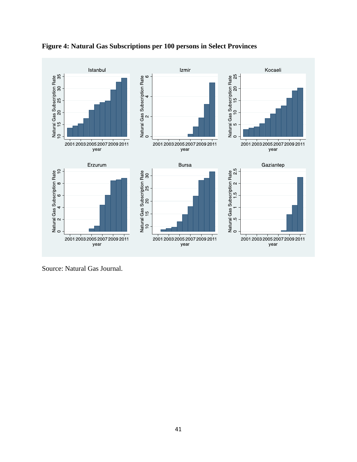

**Figure 4: Natural Gas Subscriptions per 100 persons in Select Provinces** 

Source: Natural Gas Journal.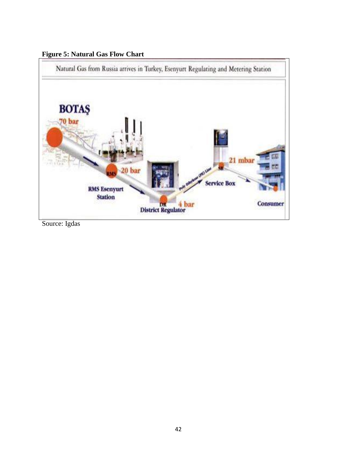



Source: Igdas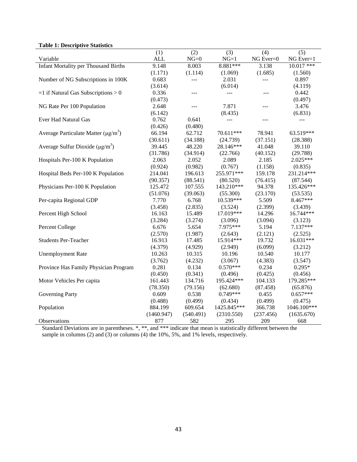### **Table 1: Descriptive Statistics**

| raon 1. Descriptive building                          |            |           |             |           |              |
|-------------------------------------------------------|------------|-----------|-------------|-----------|--------------|
|                                                       | (1)        | (2)       | (3)         | (4)       | (5)          |
| Variable                                              | <b>ALL</b> | $NG=0$    | $NG=1$      | NG Ever=0 | NG Ever=1    |
| <b>Infant Mortality per Thousand Births</b>           | 9.148      | 8.003     | $8.881***$  | 3.138     | $10.017$ *** |
|                                                       | (1.171)    | (1.114)   | (1.069)     | (1.685)   | (1.560)      |
| Number of NG Subscriptions in 100K                    | 0.683      | ---       | 2.031       | ---       | 0.897        |
|                                                       | (3.614)    |           | (6.014)     |           | (4.119)      |
| $=1$ if Natural Gas Subscriptions > 0                 | 0.336      | $- - -$   | ---         | $---$     | 0.442        |
|                                                       | (0.473)    |           |             |           | (0.497)      |
| NG Rate Per 100 Population                            | 2.648      | $---$     | 7.871       |           | 3.476        |
|                                                       | (6.142)    |           | (8.435)     |           | (6.831)      |
| Ever Had Natural Gas                                  | 0.762      | 0.641     | $ -$        | $---$     | ---          |
|                                                       | (0.426)    | (0.480)   |             |           |              |
| Average Particulate Matter ( $\mu$ g/m <sup>3</sup> ) | 66.194     | 62.712    | 70.611***   | 78.941    | 63.519***    |
|                                                       | (30.611)   | (34.188)  | (24.739)    | (37.151)  | (28.388)     |
| Average Sulfur Dioxide ( $\mu$ g/m <sup>3</sup> )     | 39.445     | 48.220    | 28.146***   | 41.048    | 39.110       |
|                                                       | (31.786)   | (34.914)  | (22.766)    | (40.152)  | (29.788)     |
| Hospitals Per-100 K Population                        | 2.063      | 2.052     | 2.089       | 2.185     | $2.025***$   |
|                                                       | (0.924)    | (0.982)   | (0.767)     | (1.158)   | (0.835)      |
| Hospital Beds Per-100 K Population                    | 214.041    | 196.613   | 255.971***  | 159.178   | 231.214***   |
|                                                       | (90.357)   | (88.541)  | (80.520)    | (76.415)  | (87.544)     |
| Physicians Per-100 K Population                       | 125.472    | 107.555   | 143.210***  | 94.378    | 135.426***   |
|                                                       | (51.076)   | (39.063)  | (55.300)    | (23.170)  | (53.535)     |
| Per-capita Regional GDP                               | 7.770      | 6.768     | 10.539***   | 5.509     | 8.467***     |
|                                                       | (3.458)    | (2.835)   | (3.524)     | (2.399)   | (3.439)      |
| Percent High School                                   | 16.163     | 15.489    | 17.019***   | 14.296    | 16.744***    |
|                                                       | (3.284)    | (3.274)   | (3.096)     | (3.094)   | (3.123)      |
| Percent College                                       | 6.676      | 5.654     | 7.975***    | 5.194     | 7.137***     |
|                                                       | (2.570)    | (1.987)   | (2.643)     | (2.121)   | (2.525)      |
| <b>Students Per-Teacher</b>                           | 16.913     | 17.485    | 15.914***   | 19.732    | 16.031***    |
|                                                       | (4.379)    | (4.929)   | (2.949)     | (6.099)   | (3.212)      |
| <b>Unemployment Rate</b>                              | 10.263     | 10.315    | 10.196      | 10.540    | 10.177       |
|                                                       | (3.762)    | (4.232)   | (3.067)     | (4.383)   | (3.547)      |
| Province Has Family Physician Program                 | 0.281      | 0.134     | $0.570***$  | 0.234     | $0.295*$     |
|                                                       | (0.450)    | (0.341)   | (0.496)     | (0.425)   | (0.456)      |
| Motor Vehicles Per capita                             | 161.443    | 134.716   | 195.424***  | 104.133   | 179.285***   |
|                                                       | (78.350)   | (79.156)  | (62.680)    | (87.458)  | (65.876)     |
| <b>Governing Party</b>                                | 0.609      | 0.538     | $0.749***$  | 0.455     | $0.657***$   |
|                                                       | (0.488)    | (0.499)   | (0.434)     | (0.499)   | (0.475)      |
| Population                                            | 884.199    | 609.654   | 1425.845*** | 366.738   | 1046.100***  |
|                                                       | (1460.947) | (540.491) | (2310.550)  | (237.456) | (1635.670)   |
| Observations                                          | 877        | 582       | 295         | 209       | 668          |

Standard Deviations are in parentheses. \*, \*\*, and \*\*\* indicate that mean is statistically different between the sample in columns (2) and (3) or columns (4) the 10%, 5%, and 1% levels, respectively.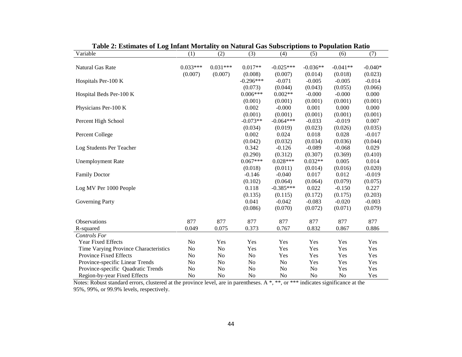|                                       | Table 2. Estimates of Eug Imain Nottanty on Natural Gas Subscriptions to I opulation Katio |                |                |             |            |                |           |
|---------------------------------------|--------------------------------------------------------------------------------------------|----------------|----------------|-------------|------------|----------------|-----------|
| Variable                              | (1)                                                                                        | (2)            | (3)            | (4)         | (5)        | (6)            | (7)       |
|                                       |                                                                                            |                |                |             |            |                |           |
| Natural Gas Rate                      | $0.033***$                                                                                 | $0.031***$     | $0.017**$      | $-0.025***$ | $-0.036**$ | $-0.041**$     | $-0.040*$ |
|                                       | (0.007)                                                                                    | (0.007)        | (0.008)        | (0.007)     | (0.014)    | (0.018)        | (0.023)   |
| Hospitals Per-100 K                   |                                                                                            |                | $-0.296***$    | $-0.071$    | $-0.005$   | $-0.005$       | $-0.014$  |
|                                       |                                                                                            |                | (0.073)        | (0.044)     | (0.043)    | (0.055)        | (0.066)   |
| Hospital Beds Per-100 K               |                                                                                            |                | $0.006***$     | $0.002**$   | $-0.000$   | $-0.000$       | 0.000     |
|                                       |                                                                                            |                | (0.001)        | (0.001)     | (0.001)    | (0.001)        | (0.001)   |
| Physicians Per-100 K                  |                                                                                            |                | 0.002          | $-0.000$    | 0.001      | 0.000          | 0.000     |
|                                       |                                                                                            |                | (0.001)        | (0.001)     | (0.001)    | (0.001)        | (0.001)   |
| Percent High School                   |                                                                                            |                | $-0.073**$     | $-0.064***$ | $-0.033$   | $-0.019$       | 0.007     |
|                                       |                                                                                            |                | (0.034)        | (0.019)     | (0.023)    | (0.026)        | (0.035)   |
| Percent College                       |                                                                                            |                | 0.002          | 0.024       | 0.018      | 0.028          | $-0.017$  |
|                                       |                                                                                            |                | (0.042)        | (0.032)     | (0.034)    | (0.036)        | (0.044)   |
| Log Students Per Teacher              |                                                                                            |                | 0.342          | $-0.126$    | $-0.089$   | $-0.068$       | 0.029     |
|                                       |                                                                                            |                | (0.290)        | (0.312)     | (0.307)    | (0.369)        | (0.410)   |
| <b>Unemployment Rate</b>              |                                                                                            |                | $0.067***$     | $0.028***$  | $0.032**$  | 0.005          | 0.014     |
|                                       |                                                                                            |                | (0.018)        | (0.011)     | (0.014)    | (0.016)        | (0.020)   |
| <b>Family Doctor</b>                  |                                                                                            |                | $-0.146$       | $-0.040$    | 0.017      | 0.012          | $-0.019$  |
|                                       |                                                                                            |                | (0.102)        | (0.064)     | (0.064)    | (0.079)        | (0.075)   |
| Log MV Per 1000 People                |                                                                                            |                | 0.118          | $-0.385***$ | 0.022      | $-0.150$       | 0.227     |
|                                       |                                                                                            |                | (0.135)        | (0.115)     | (0.172)    | (0.175)        | (0.203)   |
| <b>Governing Party</b>                |                                                                                            |                | 0.041          | $-0.042$    | $-0.083$   | $-0.020$       | $-0.003$  |
|                                       |                                                                                            |                | (0.086)        | (0.070)     | (0.072)    | (0.071)        | (0.079)   |
|                                       |                                                                                            |                |                |             |            |                |           |
| Observations                          | 877                                                                                        | 877            | 877            | 877         | 877        | 877            | 877       |
| R-squared                             | 0.049                                                                                      | 0.075          | 0.373          | 0.767       | 0.832      | 0.867          | 0.886     |
| <b>Controls For</b>                   |                                                                                            |                |                |             |            |                |           |
| Year Fixed Effects                    | No                                                                                         | Yes            | Yes            | Yes         | Yes        | Yes            | Yes       |
| Time Varying Province Characteristics | N <sub>o</sub>                                                                             | No             | Yes            | Yes         | Yes        | Yes            | Yes       |
| <b>Province Fixed Effects</b>         | No                                                                                         | No             | No             | Yes         | Yes        | Yes            | Yes       |
| Province-specific Linear Trends       | N <sub>o</sub>                                                                             | No             | No             | No          | Yes        | Yes            | Yes       |
| Province-specific Quadratic Trends    | N <sub>o</sub>                                                                             | N <sub>o</sub> | No             | No          | No         | Yes            | Yes       |
| Region-by-year Fixed Effects          | N <sub>0</sub>                                                                             | No             | N <sub>o</sub> | No          | No         | N <sub>0</sub> | Yes       |

**Table 2: Estimates of Log Infant Mortality on Natural Gas Subscriptions to Population Ratio**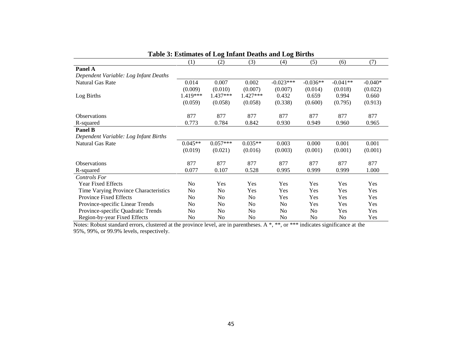|                                       |           | ີ              |                | ີ              |                |            |           |
|---------------------------------------|-----------|----------------|----------------|----------------|----------------|------------|-----------|
|                                       | (1)       | (2)            | (3)            | (4)            | (5)            | (6)        | (7)       |
| Panel A                               |           |                |                |                |                |            |           |
| Dependent Variable: Log Infant Deaths |           |                |                |                |                |            |           |
| Natural Gas Rate                      | 0.014     | 0.007          | 0.002          | $-0.023***$    | $-0.036**$     | $-0.041**$ | $-0.040*$ |
|                                       | (0.009)   | (0.010)        | (0.007)        | (0.007)        | (0.014)        | (0.018)    | (0.022)   |
| Log Births                            | 1.419***  | 1.437***       | $1.427***$     | 0.432          | 0.659          | 0.994      | 0.660     |
|                                       | (0.059)   | (0.058)        | (0.058)        | (0.338)        | (0.600)        | (0.795)    | (0.913)   |
| <b>Observations</b>                   | 877       | 877            | 877            | 877            | 877            | 877        | 877       |
| R-squared                             | 0.773     | 0.784          | 0.842          | 0.930          | 0.949          | 0.960      | 0.965     |
| <b>Panel B</b>                        |           |                |                |                |                |            |           |
| Dependent Variable: Log Infant Births |           |                |                |                |                |            |           |
| Natural Gas Rate                      | $0.045**$ | $0.057***$     | $0.035**$      | 0.003          | 0.000          | 0.001      | 0.001     |
|                                       | (0.019)   | (0.021)        | (0.016)        | (0.003)        | (0.001)        | (0.001)    | (0.001)   |
| <b>Observations</b>                   | 877       | 877            | 877            | 877            | 877            | 877        | 877       |
| R-squared                             | 0.077     | 0.107          | 0.528          | 0.995          | 0.999          | 0.999      | 1.000     |
| <b>Controls For</b>                   |           |                |                |                |                |            |           |
| <b>Year Fixed Effects</b>             | No.       | Yes            | Yes            | Yes            | Yes            | Yes        | Yes       |
| Time Varying Province Characteristics | No.       | No             | Yes            | Yes            | Yes            | Yes        | Yes       |
| <b>Province Fixed Effects</b>         | No        | N <sub>0</sub> | No             | <b>Yes</b>     | Yes            | Yes        | Yes       |
| Province-specific Linear Trends       | No        | N <sub>0</sub> | N <sub>0</sub> | N <sub>0</sub> | Yes            | Yes        | Yes       |
| Province-specific Quadratic Trends    | No.       | N <sub>0</sub> | No             | N <sub>0</sub> | N <sub>0</sub> | Yes        | Yes       |
| Region-by-year Fixed Effects          | No        | No             | No             | N <sub>0</sub> | No             | No         | Yes       |

| Table 3: Estimates of Log Infant Deaths and Log Births |  |  |  |
|--------------------------------------------------------|--|--|--|
|                                                        |  |  |  |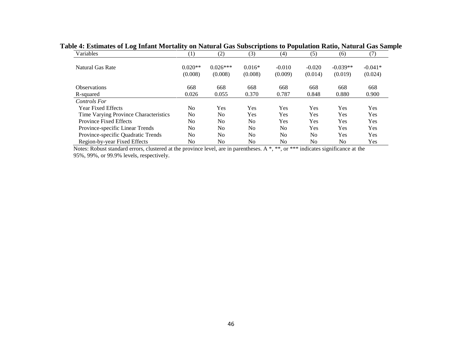| Variables                             | (1)            | (2)            | (3)            | (4)            | (5)      | (6)            | (7)       |
|---------------------------------------|----------------|----------------|----------------|----------------|----------|----------------|-----------|
| Natural Gas Rate                      | $0.020**$      | $0.026***$     | $0.016*$       | $-0.010$       | $-0.020$ | $-0.039**$     | $-0.041*$ |
|                                       | (0.008)        | (0.008)        | (0.008)        | (0.009)        | (0.014)  | (0.019)        | (0.024)   |
| <b>Observations</b>                   | 668            | 668            | 668            | 668            | 668      | 668            | 668       |
| R-squared                             | 0.026          | 0.055          | 0.370          | 0.787          | 0.848    | 0.880          | 0.900     |
| <b>Controls For</b>                   |                |                |                |                |          |                |           |
| <b>Year Fixed Effects</b>             | N <sub>0</sub> | Yes            | <b>Yes</b>     | Yes            | Yes      | Yes            | Yes       |
| Time Varying Province Characteristics | N <sub>0</sub> | No             | Yes            | Yes            | Yes      | Yes            | Yes       |
| <b>Province Fixed Effects</b>         | No             | No             | N <sub>0</sub> | Yes            | Yes      | Yes            | Yes       |
| Province-specific Linear Trends       | N <sub>0</sub> | N <sub>0</sub> | N <sub>0</sub> | N <sub>0</sub> | Yes      | Yes            | Yes       |
| Province-specific Quadratic Trends    | No             | No             | N <sub>0</sub> | N <sub>0</sub> | No       | Yes            | Yes       |
| Region-by-year Fixed Effects          | No             | No             | N <sub>0</sub> | N <sub>0</sub> | No       | N <sub>0</sub> | Yes       |

**Table 4: Estimates of Log Infant Mortality on Natural Gas Subscriptions to Population Ratio, Natural Gas Sample**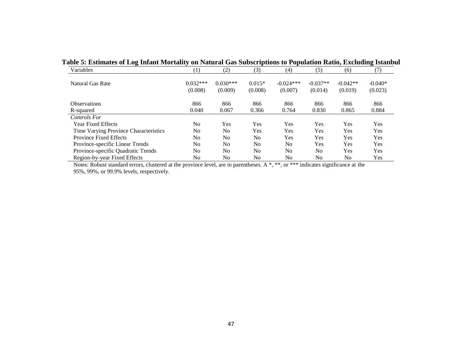| Variables                             | $\left( 1\right)$     | (2)                   | (3)                 | (4)                    | (5)                   | (6)                   | (7)                  |
|---------------------------------------|-----------------------|-----------------------|---------------------|------------------------|-----------------------|-----------------------|----------------------|
| Natural Gas Rate                      | $0.032***$<br>(0.008) | $0.030***$<br>(0.009) | $0.015*$<br>(0.008) | $-0.024***$<br>(0.007) | $-0.037**$<br>(0.014) | $-0.042**$<br>(0.019) | $-0.040*$<br>(0.023) |
| <b>Observations</b>                   | 866                   | 866                   | 866                 | 866                    | 866                   | 866                   | 866                  |
| R-squared                             | 0.040                 | 0.067                 | 0.366               | 0.764                  | 0.830                 | 0.865                 | 0.884                |
| <b>Controls For</b>                   |                       |                       |                     |                        |                       |                       |                      |
| <b>Year Fixed Effects</b>             | No                    | Yes                   | Yes                 | Yes                    | Yes                   | <b>Yes</b>            | Yes                  |
| Time Varying Province Characteristics | No                    | N <sub>0</sub>        | Yes                 | Yes                    | Yes                   | Yes                   | Yes                  |
| <b>Province Fixed Effects</b>         | No                    | N <sub>0</sub>        | N <sub>0</sub>      | Yes                    | Yes                   | Yes                   | Yes                  |
| Province-specific Linear Trends       | No                    | N <sub>0</sub>        | N <sub>0</sub>      | N <sub>0</sub>         | Yes                   | Yes                   | Yes                  |
| Province-specific Quadratic Trends    | N <sub>o</sub>        | No                    | N <sub>0</sub>      | N <sub>o</sub>         | N <sub>0</sub>        | Yes                   | Yes                  |
| Region-by-year Fixed Effects          | No                    | No                    | No                  | No                     | No                    | N <sub>0</sub>        | Yes                  |

# **Table 5: Estimates of Log Infant Mortality on Natural Gas Subscriptions to Population Ratio, Excluding Istanbul**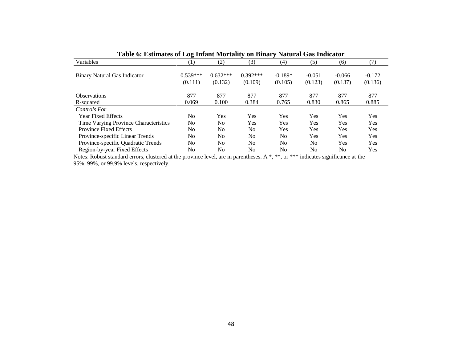| Table v. Estimates of Evg Imam Mortanty on Dinary Futurar Gas Indicator |                   |                |                |                |                |                |            |  |
|-------------------------------------------------------------------------|-------------------|----------------|----------------|----------------|----------------|----------------|------------|--|
| Variables                                                               | $\left( 1\right)$ | (2)            | (3)            | (4)            | (5)            | (6)            | (7)        |  |
|                                                                         |                   |                |                |                |                |                |            |  |
| <b>Binary Natural Gas Indicator</b>                                     | $0.539***$        | $0.632***$     | $0.392***$     | $-0.189*$      | $-0.051$       | $-0.066$       | $-0.172$   |  |
|                                                                         | (0.111)           | (0.132)        | (0.109)        | (0.105)        | (0.123)        | (0.137)        | (0.136)    |  |
| <b>Observations</b>                                                     | 877               | 877            | 877            | 877            | 877            | 877            | 877        |  |
| R-squared                                                               | 0.069             | 0.100          | 0.384          | 0.765          | 0.830          | 0.865          | 0.885      |  |
| <b>Controls For</b>                                                     |                   |                |                |                |                |                |            |  |
| <b>Year Fixed Effects</b>                                               | N <sub>0</sub>    | Yes            | Yes            | Yes            | <b>Yes</b>     | Yes            | <b>Yes</b> |  |
| Time Varying Province Characteristics                                   | N <sub>0</sub>    | N <sub>0</sub> | Yes            | Yes            | Yes            | Yes            | <b>Yes</b> |  |
| <b>Province Fixed Effects</b>                                           | N <sub>0</sub>    | N <sub>0</sub> | N <sub>0</sub> | Yes            | Yes            | Yes            | Yes        |  |
| Province-specific Linear Trends                                         | N <sub>0</sub>    | N <sub>0</sub> | N <sub>0</sub> | N <sub>0</sub> | <b>Yes</b>     | Yes            | <b>Yes</b> |  |
| Province-specific Quadratic Trends                                      | N <sub>0</sub>    | N <sub>0</sub> | N <sub>0</sub> | N <sub>0</sub> | N <sub>0</sub> | Yes            | <b>Yes</b> |  |
| Region-by-year Fixed Effects                                            | No                | No             | No             | No             | No             | N <sub>0</sub> | <b>Yes</b> |  |

**Table 6: Estimates of Log Infant Mortality on Binary Natural Gas Indicator**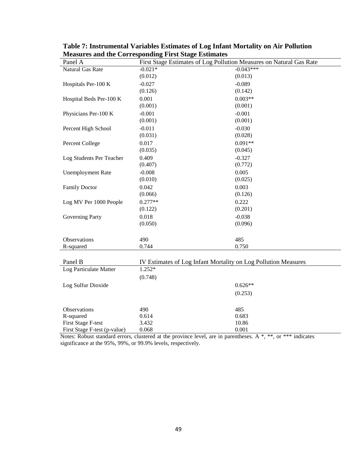| Panel A                      | ----- <b>-</b> -<br>First Stage Estimates of Log Pollution Measures on Natural Gas Rate |             |
|------------------------------|-----------------------------------------------------------------------------------------|-------------|
| Natural Gas Rate             | $-0.021*$                                                                               | $-0.043***$ |
|                              | (0.012)                                                                                 | (0.013)     |
| Hospitals Per-100 K          | $-0.027$                                                                                | $-0.089$    |
|                              | (0.126)                                                                                 | (0.142)     |
| Hospital Beds Per-100 K      | 0.001                                                                                   | $0.003**$   |
|                              | (0.001)                                                                                 | (0.001)     |
| Physicians Per-100 K         | $-0.001$                                                                                | $-0.001$    |
|                              | (0.001)                                                                                 | (0.001)     |
| Percent High School          | $-0.011$                                                                                | $-0.030$    |
|                              | (0.031)                                                                                 | (0.028)     |
| Percent College              | 0.017                                                                                   | $0.091**$   |
|                              | (0.035)                                                                                 | (0.045)     |
| Log Students Per Teacher     | 0.409                                                                                   | $-0.327$    |
|                              | (0.407)                                                                                 | (0.772)     |
| <b>Unemployment Rate</b>     | $-0.008$                                                                                | 0.005       |
|                              | (0.010)                                                                                 | (0.025)     |
| <b>Family Doctor</b>         | 0.042                                                                                   | 0.003       |
|                              | (0.066)                                                                                 | (0.126)     |
| Log MV Per 1000 People       | $0.277**$                                                                               | 0.222       |
|                              | (0.122)                                                                                 | (0.201)     |
| Governing Party              | 0.018                                                                                   | $-0.038$    |
|                              | (0.050)                                                                                 | (0.096)     |
|                              |                                                                                         |             |
| Observations                 | 490                                                                                     | 485         |
| R-squared                    | 0.744                                                                                   | 0.750       |
|                              |                                                                                         |             |
| Panel B                      | IV Estimates of Log Infant Mortality on Log Pollution Measures                          |             |
| Log Particulate Matter       | 1.252*                                                                                  |             |
|                              | (0.748)                                                                                 |             |
| Log Sulfur Dioxide           |                                                                                         | $0.626**$   |
|                              |                                                                                         | (0.253)     |
|                              |                                                                                         |             |
| Observations                 | 490                                                                                     | 485         |
| R-squared                    | 0.614                                                                                   | 0.683       |
| <b>First Stage F-test</b>    | 3.432                                                                                   | 10.86       |
| First Stage F-test (p-value) | 0.068                                                                                   | 0.001       |

**Table 7: Instrumental Variables Estimates of Log Infant Mortality on Air Pollution Measures and the Corresponding First Stage Estimates**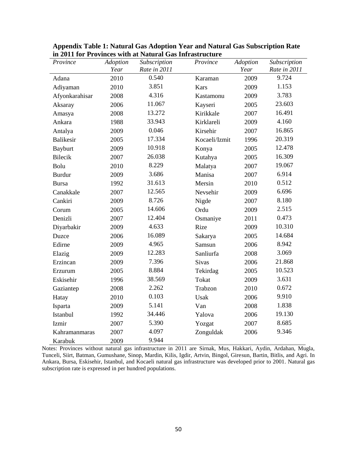| Province         | Adoption | Subscription | Province      | Adoption | Subscription |
|------------------|----------|--------------|---------------|----------|--------------|
|                  | Year     | Rate in 2011 |               | Year     | Rate in 2011 |
| Adana            | 2010     | 0.540        | Karaman       | 2009     | 9.724        |
| Adiyaman         | 2010     | 3.851        | Kars          | 2009     | 1.153        |
| Afyonkarahisar   | 2008     | 4.316        | Kastamonu     | 2009     | 3.783        |
| Aksaray          | 2006     | 11.067       | Kayseri       | 2005     | 23.603       |
| Amasya           | 2008     | 13.272       | Kirikkale     | 2007     | 16.491       |
| Ankara           | 1988     | 33.943       | Kirklareli    | 2009     | 4.160        |
| Antalya          | 2009     | 0.046        | Kirsehir      | 2007     | 16.865       |
| <b>Balikesir</b> | 2005     | 17.334       | Kocaeli/Izmit | 1996     | 20.319       |
| <b>Bayburt</b>   | 2009     | 10.918       | Konya         | 2005     | 12.478       |
| <b>Bilecik</b>   | 2007     | 26.038       | Kutahya       | 2005     | 16.309       |
| Bolu             | 2010     | 8.229        | Malatya       | 2007     | 19.067       |
| <b>Burdur</b>    | 2009     | 3.686        | Manisa        | 2007     | 6.914        |
| <b>Bursa</b>     | 1992     | 31.613       | Mersin        | 2010     | 0.512        |
| Canakkale        | 2007     | 12.565       | Nevsehir      | 2009     | 6.696        |
| Cankiri          | 2009     | 8.726        | Nigde         | 2007     | 8.180        |
| Corum            | 2005     | 14.606       | Ordu          | 2009     | 2.515        |
| Denizli          | 2007     | 12.404       | Osmaniye      | 2011     | 0.473        |
| Diyarbakir       | 2009     | 4.633        | Rize          | 2009     | 10.310       |
| Duzce            | 2006     | 16.089       | Sakarya       | 2005     | 14.684       |
| Edirne           | 2009     | 4.965        | Samsun        | 2006     | 8.942        |
| Elazig           | 2009     | 12.283       | Sanliurfa     | 2008     | 3.069        |
| Erzincan         | 2009     | 7.396        | <b>Sivas</b>  | 2006     | 21.868       |
| Erzurum          | 2005     | 8.884        | Tekirdag      | 2005     | 10.523       |
| Eskisehir        | 1996     | 38.569       | Tokat         | 2009     | 3.631        |
| Gaziantep        | 2008     | 2.262        | Trabzon       | 2010     | 0.672        |
| Hatay            | 2010     | 0.103        | Usak          | 2006     | 9.910        |
| Isparta          | 2009     | 5.141        | Van           | 2008     | 1.838        |
| Istanbul         | 1992     | 34.446       | Yalova        | 2006     | 19.130       |
| Izmir            | 2007     | 5.390        | Yozgat        | 2007     | 8.685        |
| Kahramanmaras    | 2007     | 4.097        | Zonguldak     | 2006     | 9.346        |
| Karabuk          | 2009     | 9.944        |               |          |              |

**Appendix Table 1: Natural Gas Adoption Year and Natural Gas Subscription Rate in 2011 for Provinces with at Natural Gas Infrastructure**

Notes: Provinces without natural gas infrastructure in 2011 are Sirnak, Mus, Hakkari, Aydin, Ardahan, Mugla, Tunceli, Siirt, Batman, Gumushane, Sinop, Mardin, Kilis, Igdir, Artvin, Bingol, Giresun, Bartin, Bitlis, and Agri. In Ankara, Bursa, Eskisehir, Istanbul, and Kocaeli natural gas infrastructure was developed prior to 2001. Natural gas subscription rate is expressed in per hundred populations.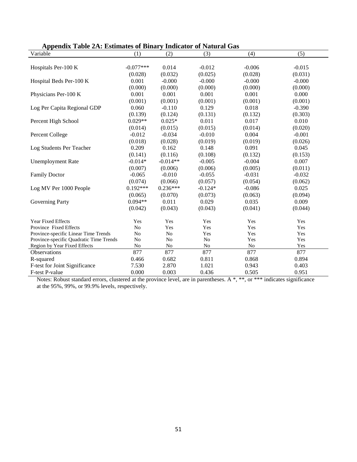|  |  | Appendix Table 2A: Estimates of Binary Indicator of Natural Gas |
|--|--|-----------------------------------------------------------------|
|  |  |                                                                 |

| Variable                                | (1)         | (2)        | (3)       | (4)      | (5)      |
|-----------------------------------------|-------------|------------|-----------|----------|----------|
|                                         |             |            |           |          |          |
| Hospitals Per-100 K                     | $-0.077***$ | 0.014      | $-0.012$  | $-0.006$ | $-0.015$ |
|                                         | (0.028)     | (0.032)    | (0.025)   | (0.028)  | (0.031)  |
| Hospital Beds Per-100 K                 | 0.001       | $-0.000$   | $-0.000$  | $-0.000$ | $-0.000$ |
|                                         | (0.000)     | (0.000)    | (0.000)   | (0.000)  | (0.000)  |
| Physicians Per-100 K                    | 0.001       | 0.001      | 0.001     | 0.001    | 0.000    |
|                                         | (0.001)     | (0.001)    | (0.001)   | (0.001)  | (0.001)  |
| Log Per Capita Regional GDP             | 0.060       | $-0.110$   | 0.129     | 0.018    | $-0.390$ |
|                                         | (0.139)     | (0.124)    | (0.131)   | (0.132)  | (0.303)  |
| Percent High School                     | $0.029**$   | $0.025*$   | 0.011     | 0.017    | 0.010    |
|                                         | (0.014)     | (0.015)    | (0.015)   | (0.014)  | (0.020)  |
| Percent College                         | $-0.012$    | $-0.034$   | $-0.010$  | 0.004    | $-0.001$ |
|                                         | (0.018)     | (0.028)    | (0.019)   | (0.019)  | (0.026)  |
| Log Students Per Teacher                | 0.209       | 0.162      | 0.148     | 0.091    | 0.045    |
|                                         | (0.141)     | (0.116)    | (0.108)   | (0.132)  | (0.153)  |
| <b>Unemployment Rate</b>                | $-0.014*$   | $-0.014**$ | $-0.005$  | $-0.004$ | 0.007    |
|                                         | (0.007)     | (0.006)    | (0.006)   | (0.005)  | (0.011)  |
| <b>Family Doctor</b>                    | $-0.065$    | $-0.010$   | $-0.055$  | $-0.031$ | $-0.032$ |
|                                         | (0.074)     | (0.066)    | (0.057)   | (0.054)  | (0.062)  |
| Log MV Per 1000 People                  | $0.192***$  | $0.236***$ | $-0.124*$ | $-0.086$ | 0.025    |
|                                         | (0.065)     | (0.070)    | (0.073)   | (0.063)  | (0.094)  |
| <b>Governing Party</b>                  | $0.094**$   | 0.011      | 0.029     | 0.035    | 0.009    |
|                                         | (0.042)     | (0.043)    | (0.043)   | (0.041)  | (0.044)  |
|                                         |             |            |           |          |          |
| <b>Year Fixed Effects</b>               | Yes         | Yes        | Yes       | Yes      | Yes      |
| Province Fixed Effects                  | No          | Yes        | Yes       | Yes      | Yes      |
| Province-specific Linear Time Trends    | No          | No         | Yes       | Yes      | Yes      |
| Province-specific Quadratic Time Trends | No          | No         | No        | Yes      | Yes      |
| Region by Year Fixed Effects            | No          | $\rm No$   | No        | $\rm No$ | Yes      |
| Observations                            | 877         | 877        | 877       | 877      | 877      |
| R-squared                               | 0.466       | 0.682      | 0.811     | 0.868    | 0.894    |
| F-test for Joint Significance           | 7.530       | 2.870      | 1.021     | 0.943    | 0.403    |
| F-test P-value                          | 0.000       | 0.003      | 0.436     | 0.505    | 0.951    |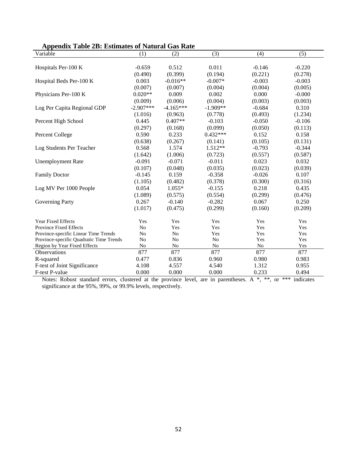| Appendix Table 2B: Estimates of Natural Gas Rate |             |             |                |          |          |
|--------------------------------------------------|-------------|-------------|----------------|----------|----------|
| Variable                                         | (1)         | (2)         | (3)            | (4)      | (5)      |
|                                                  |             |             |                |          |          |
| Hospitals Per-100 K                              | $-0.659$    | 0.512       | 0.011          | $-0.146$ | $-0.220$ |
|                                                  | (0.490)     | (0.399)     | (0.194)        | (0.221)  | (0.278)  |
| Hospital Beds Per-100 K                          | 0.003       | $-0.016**$  | $-0.007*$      | $-0.003$ | $-0.003$ |
|                                                  | (0.007)     | (0.007)     | (0.004)        | (0.004)  | (0.005)  |
| Physicians Per-100 K                             | $0.020**$   | 0.009       | 0.002          | 0.000    | $-0.000$ |
|                                                  | (0.009)     | (0.006)     | (0.004)        | (0.003)  | (0.003)  |
| Log Per Capita Regional GDP                      | $-2.907***$ | $-4.165***$ | $-1.909**$     | $-0.684$ | 0.310    |
|                                                  | (1.016)     | (0.963)     | (0.778)        | (0.493)  | (1.234)  |
| Percent High School                              | 0.445       | $0.407**$   | $-0.103$       | $-0.050$ | $-0.106$ |
|                                                  | (0.297)     | (0.168)     | (0.099)        | (0.050)  | (0.113)  |
| <b>Percent College</b>                           | 0.590       | 0.233       | $0.432***$     | 0.152    | 0.158    |
|                                                  | (0.638)     | (0.267)     | (0.141)        | (0.105)  | (0.131)  |
| Log Students Per Teacher                         | 0.568       | 1.574       | $1.512**$      | $-0.793$ | $-0.344$ |
|                                                  | (1.642)     | (1.006)     | (0.723)        | (0.557)  | (0.587)  |
| <b>Unemployment Rate</b>                         | $-0.091$    | $-0.071$    | $-0.011$       | 0.023    | 0.032    |
|                                                  | (0.107)     | (0.048)     | (0.035)        | (0.023)  | (0.039)  |
| <b>Family Doctor</b>                             | $-0.145$    | 0.159       | $-0.358$       | $-0.026$ | 0.107    |
|                                                  | (1.105)     | (0.482)     | (0.378)        | (0.300)  | (0.316)  |
| Log MV Per 1000 People                           | 0.054       | $1.055*$    | $-0.155$       | 0.218    | 0.435    |
|                                                  | (1.089)     | (0.575)     | (0.554)        | (0.299)  | (0.476)  |
| <b>Governing Party</b>                           | 0.267       | $-0.140$    | $-0.282$       | 0.067    | 0.250    |
|                                                  | (1.017)     | (0.475)     | (0.299)        | (0.160)  | (0.209)  |
|                                                  |             |             |                |          |          |
| <b>Year Fixed Effects</b>                        | Yes         | Yes         | Yes            | Yes      | Yes      |
| <b>Province Fixed Effects</b>                    | No          | Yes         | Yes            | Yes      | Yes      |
| Province-specific Linear Time Trends             | No          | No          | Yes            | Yes      | Yes      |
| Province-specific Quadratic Time Trends          | No          | No          | N <sub>0</sub> | Yes      | Yes      |
| Region by Year Fixed Effects                     | No          | No          | No             | No       | Yes      |
| <b>Observations</b>                              | 877         | 877         | 877            | 877      | 877      |
| R-squared                                        | 0.477       | 0.836       | 0.960          | 0.980    | 0.983    |
| F-test of Joint Significance                     | 4.108       | 4.557       | 4.540          | 1.312    | 0.955    |
| F-test P-value                                   | 0.000       | 0.000       | 0.000          | 0.233    | 0.494    |

#### **Appendix Table 2B: Estimates of Natural Gas Rate**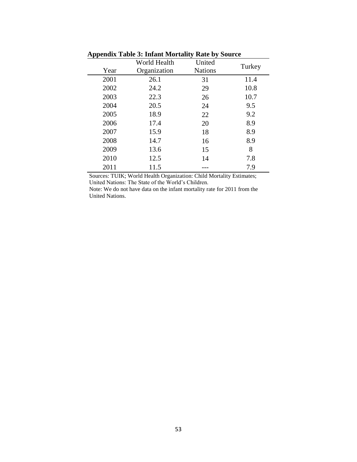| $\mathbf{A}$ , $\mathbf{B}$ , $\mathbf{B}$ , $\mathbf{A}$ , $\mathbf{B}$ , $\mathbf{B}$ , $\mathbf{B}$ , $\mathbf{B}$ , $\mathbf{B}$ , $\mathbf{B}$ , $\mathbf{B}$ , $\mathbf{B}$ , $\mathbf{B}$ , $\mathbf{B}$ , $\mathbf{B}$ , $\mathbf{B}$ , $\mathbf{B}$ , $\mathbf{B}$ , $\mathbf{B}$ , $\mathbf{B}$ , |              |                |        |  |  |  |  |
|-------------------------------------------------------------------------------------------------------------------------------------------------------------------------------------------------------------------------------------------------------------------------------------------------------------|--------------|----------------|--------|--|--|--|--|
|                                                                                                                                                                                                                                                                                                             | World Health | United         | Turkey |  |  |  |  |
| Year                                                                                                                                                                                                                                                                                                        | Organization | <b>Nations</b> |        |  |  |  |  |
| 2001                                                                                                                                                                                                                                                                                                        | 26.1         | 31             | 11.4   |  |  |  |  |
| 2002                                                                                                                                                                                                                                                                                                        | 24.2         | 29             | 10.8   |  |  |  |  |
| 2003                                                                                                                                                                                                                                                                                                        | 22.3         | 26             | 10.7   |  |  |  |  |
| 2004                                                                                                                                                                                                                                                                                                        | 20.5         | 24             | 9.5    |  |  |  |  |
| 2005                                                                                                                                                                                                                                                                                                        | 18.9         | 22             | 9.2    |  |  |  |  |
| 2006                                                                                                                                                                                                                                                                                                        | 17.4         | 20             | 8.9    |  |  |  |  |
| 2007                                                                                                                                                                                                                                                                                                        | 15.9         | 18             | 8.9    |  |  |  |  |
| 2008                                                                                                                                                                                                                                                                                                        | 14.7         | 16             | 8.9    |  |  |  |  |
| 2009                                                                                                                                                                                                                                                                                                        | 13.6         | 15             | 8      |  |  |  |  |
| 2010                                                                                                                                                                                                                                                                                                        | 12.5         | 14             | 7.8    |  |  |  |  |
| 2011                                                                                                                                                                                                                                                                                                        | 11.5         |                | 7.9    |  |  |  |  |
|                                                                                                                                                                                                                                                                                                             |              |                |        |  |  |  |  |

 **Appendix Table 3: Infant Mortality Rate by Source** 

Sources: TUIK; World Health Organization: Child Mortality Estimates; United Nations: The State of the World's Children.

Note: We do not have data on the infant mortality rate for 2011 from the United Nations.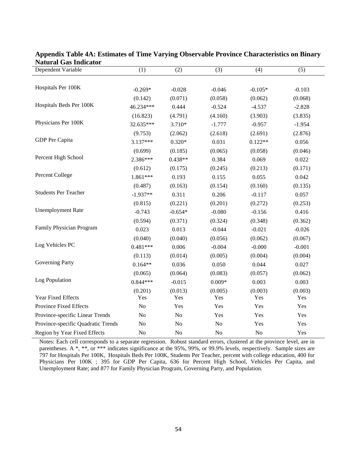| Dependent Variable                 | (1)            | (2)       | (3)      | (4)       | (5)      |
|------------------------------------|----------------|-----------|----------|-----------|----------|
|                                    |                |           |          |           |          |
| Hospitals Per 100K                 | $-0.269*$      | $-0.028$  | $-0.046$ | $-0.105*$ | $-0.103$ |
|                                    | (0.142)        | (0.071)   | (0.058)  | (0.062)   | (0.068)  |
| Hospitals Beds Per 100K            | 46.234***      | 0.444     | $-0.524$ | $-4.537$  | $-2.828$ |
|                                    | (16.823)       | (4.791)   | (4.160)  | (3.903)   | (3.835)  |
| Physicians Per 100K                | 32.635***      | 3.710*    | $-1.777$ | $-0.957$  | $-1.954$ |
|                                    | (9.753)        | (2.062)   | (2.618)  | (2.691)   | (2.876)  |
| GDP Per Capita                     | 3.137***       | $0.320*$  | 0.031    | $0.122**$ | 0.056    |
|                                    | (0.699)        | (0.185)   | (0.065)  | (0.058)   | (0.046)  |
| Percent High School                | 2.386***       | $0.438**$ | 0.384    | 0.069     | 0.022    |
|                                    | (0.612)        | (0.175)   | (0.245)  | (0.213)   | (0.171)  |
| Percent College                    | 1.861***       | 0.193     | 0.155    | 0.055     | 0.042    |
|                                    | (0.487)        | (0.163)   | (0.154)  | (0.160)   | (0.135)  |
| <b>Students Per Teacher</b>        | $-1.937**$     | 0.311     | 0.206    | $-0.117$  | 0.057    |
|                                    | (0.815)        | (0.221)   | (0.201)  | (0.272)   | (0.253)  |
| <b>Unemployment Rate</b>           | $-0.743$       | $-0.654*$ | $-0.080$ | $-0.156$  | 0.416    |
|                                    | (0.594)        | (0.371)   | (0.324)  | (0.348)   | (0.362)  |
| Family Physician Program           | 0.023          | 0.013     | $-0.044$ | $-0.021$  | $-0.026$ |
|                                    | (0.040)        | (0.040)   | (0.056)  | (0.062)   | (0.067)  |
| Log Vehicles PC                    | $0.481***$     | 0.006     | $-0.004$ | $-0.000$  | $-0.001$ |
|                                    | (0.113)        | (0.014)   | (0.005)  | (0.004)   | (0.004)  |
| Governing Party                    | $0.164**$      | 0.036     | 0.050    | 0.044     | 0.027    |
|                                    | (0.065)        | (0.064)   | (0.083)  | (0.057)   | (0.062)  |
| Log Population                     | $0.844***$     | $-0.015$  | $0.009*$ | 0.003     | 0.003    |
|                                    | (0.201)        | (0.013)   | (0.005)  | (0.003)   | (0.003)  |
| Year Fixed Effects                 | Yes            | Yes       | Yes      | Yes       | Yes      |
| <b>Province Fixed Effects</b>      | N <sub>o</sub> | Yes       | Yes      | Yes       | Yes      |
| Province-specific Linear Trends    | No             | $\rm No$  | Yes      | Yes       | Yes      |
| Province-specific Quadratic Trends | N <sub>o</sub> | No        | No       | Yes       | Yes      |
| Region by Year Fixed Effects       | N <sub>o</sub> | $\rm No$  | No       | $\rm No$  | Yes      |

**Appendix Table 4A: Estimates of Time Varying Observable Province Characteristics on Binary Natural Gas Indicator**

Notes: Each cell corresponds to a separate regression. Robust standard errors, clustered at the province level, are in parentheses. A \*, \*\*, or \*\*\* indicates significance at the 95%, 99%, or 99.9% levels, respectively. Sample sizes are 797 for Hospitals Per 100K, Hospitals Beds Per 100K, Students Per Teacher, percent with college education, 400 for Physicians Per 100K ; 395 for GDP Per Capita, 636 for Percent High School, Vehicles Per Capita, and Unemployment Rate; and 877 for Family Physician Program, Governing Party, and Population.